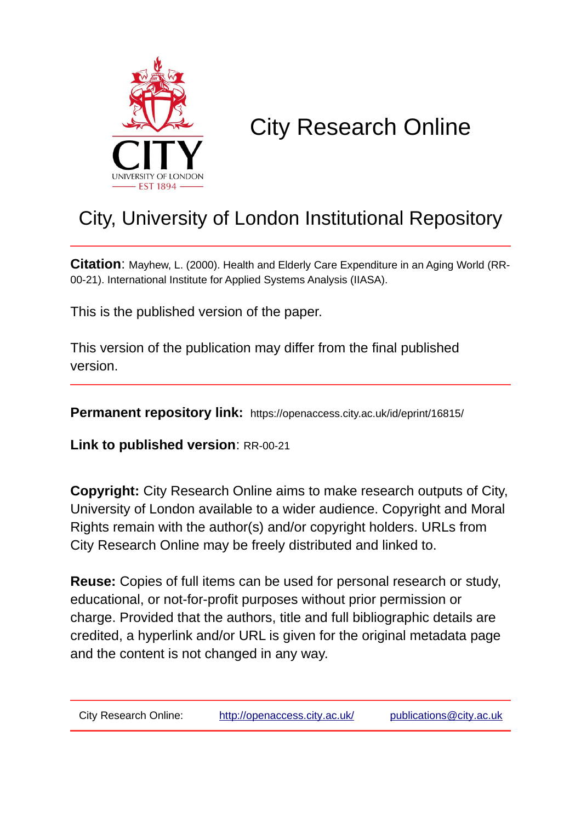

# City Research Online

## City, University of London Institutional Repository

**Citation**: Mayhew, L. (2000). Health and Elderly Care Expenditure in an Aging World (RR-00-21). International Institute for Applied Systems Analysis (IIASA).

This is the published version of the paper.

This version of the publication may differ from the final published version.

**Permanent repository link:** https://openaccess.city.ac.uk/id/eprint/16815/

**Link to published version**: RR-00-21

**Copyright:** City Research Online aims to make research outputs of City, University of London available to a wider audience. Copyright and Moral Rights remain with the author(s) and/or copyright holders. URLs from City Research Online may be freely distributed and linked to.

**Reuse:** Copies of full items can be used for personal research or study, educational, or not-for-profit purposes without prior permission or charge. Provided that the authors, title and full bibliographic details are credited, a hyperlink and/or URL is given for the original metadata page and the content is not changed in any way.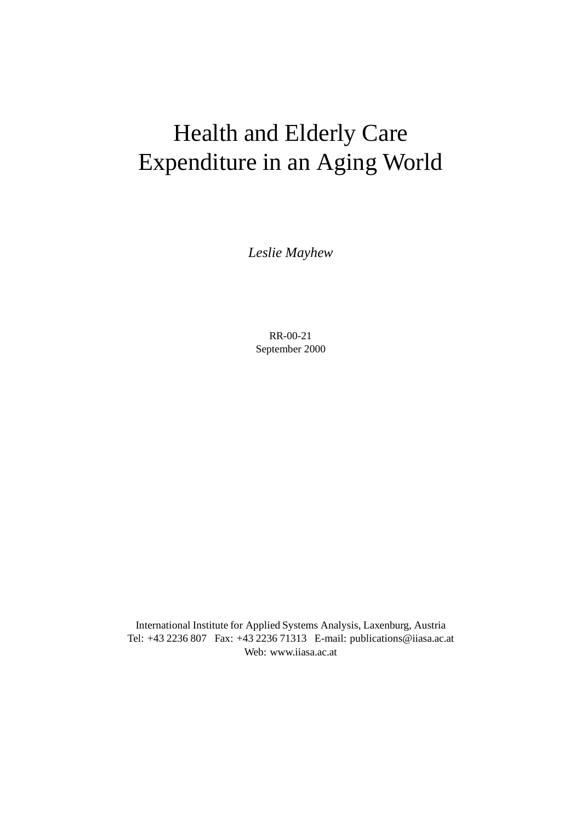# Health and Elderly Care Expenditure in an Aging World

*Leslie Mayhew*

RR-00-21 September 2000

International Institute for Applied Systems Analysis, Laxenburg, Austria Tel: +43 2236 807 Fax: +43 2236 71313 E-mail: publications@iiasa.ac.at Web: www.iiasa.ac.at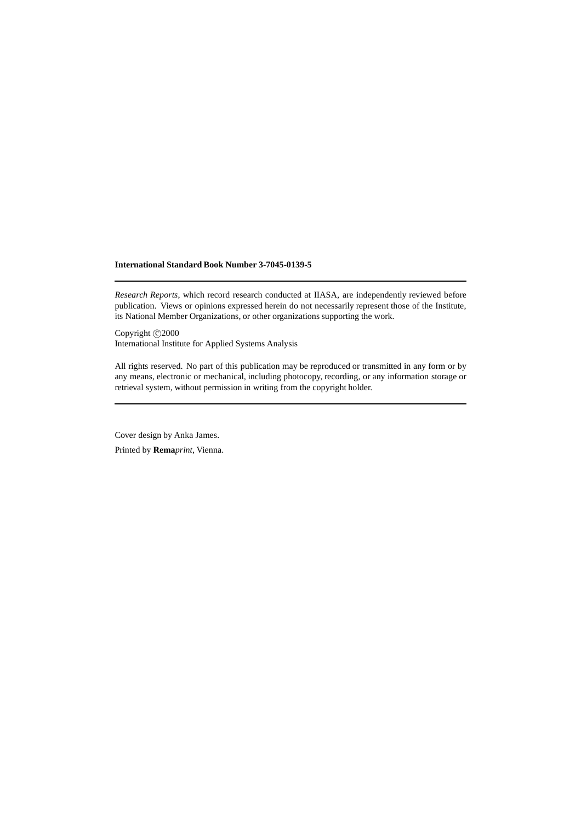#### **International Standard Book Number 3-7045-0139-5**

*Research Reports*, which record research conducted at IIASA, are independently reviewed before publication. Views or opinions expressed herein do not necessarily represent those of the Institute, its National Member Organizations, or other organizations supporting the work.

Copyright  $\odot$  2000 International Institute for Applied Systems Analysis

All rights reserved. No part of this publication may be reproduced or transmitted in any form or by any means, electronic or mechanical, including photocopy, recording, or any information storage or retrieval system, without permission in writing from the copyright holder.

Cover design by Anka James.

Printed by **Rema***print*, Vienna.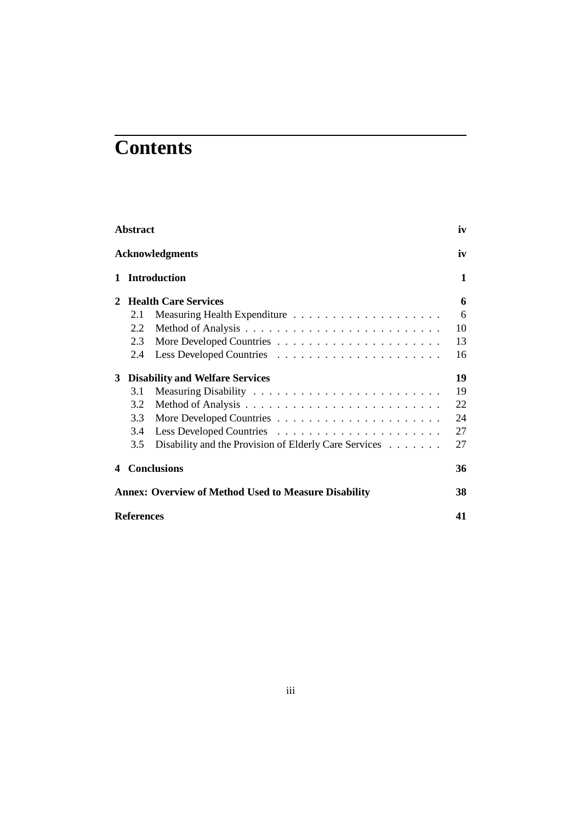## **Contents**

|   | <b>Abstract</b>   |                                                             | iv |
|---|-------------------|-------------------------------------------------------------|----|
|   |                   | <b>Acknowledgments</b>                                      | iv |
| 1 |                   | <b>Introduction</b>                                         | 1  |
|   |                   | <b>Health Care Services</b>                                 | 6  |
|   | 2.1               |                                                             | 6  |
|   | 2.2               |                                                             | 10 |
|   | 2.3               |                                                             | 13 |
|   | 2.4               |                                                             | 16 |
| 3 |                   | <b>Disability and Welfare Services</b>                      | 19 |
|   | 3.1               |                                                             | 19 |
|   | 3.2               |                                                             | 22 |
|   | 3.3               |                                                             | 24 |
|   | 3.4               |                                                             | 27 |
|   | 3.5               | Disability and the Provision of Elderly Care Services       | 27 |
| 4 |                   | <b>Conclusions</b>                                          | 36 |
|   |                   | <b>Annex: Overview of Method Used to Measure Disability</b> | 38 |
|   | <b>References</b> |                                                             | 41 |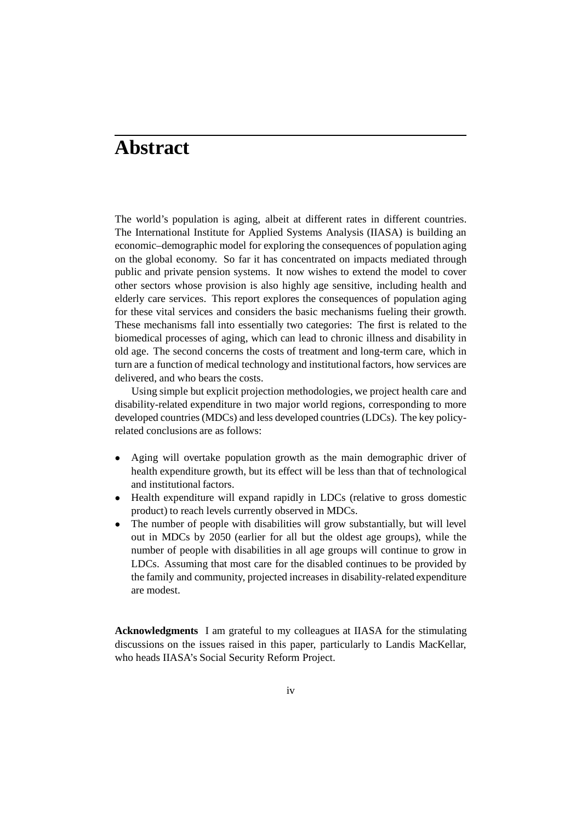### **Abstract**

The world's population is aging, albeit at different rates in different countries. The International Institute for Applied Systems Analysis (IIASA) is building an economic–demographic model for exploring the consequences of population aging on the global economy. So far it has concentrated on impacts mediated through public and private pension systems. It now wishes to extend the model to cover other sectors whose provision is also highly age sensitive, including health and elderly care services. This report explores the consequences of population aging for these vital services and considers the basic mechanisms fueling their growth. These mechanisms fall into essentially two categories: The first is related to the biomedical processes of aging, which can lead to chronic illness and disability in old age. The second concerns the costs of treatment and long-term care, which in turn are a function of medical technology and institutional factors, how services are delivered, and who bears the costs.

Using simple but explicit projection methodologies, we project health care and disability-related expenditure in two major world regions, corresponding to more developed countries (MDCs) and less developed countries (LDCs). The key policyrelated conclusions are as follows:

- Aging will overtake population growth as the main demographic driver of health expenditure growth, but its effect will be less than that of technological and institutional factors.
- Health expenditure will expand rapidly in LDCs (relative to gross domestic product) to reach levels currently observed in MDCs.
- The number of people with disabilities will grow substantially, but will level out in MDCs by 2050 (earlier for all but the oldest age groups), while the number of people with disabilities in all age groups will continue to grow in LDCs. Assuming that most care for the disabled continues to be provided by the family and community, projected increases in disability-related expenditure are modest.

**Acknowledgments** I am grateful to my colleagues at IIASA for the stimulating discussions on the issues raised in this paper, particularly to Landis MacKellar, who heads IIASA's Social Security Reform Project.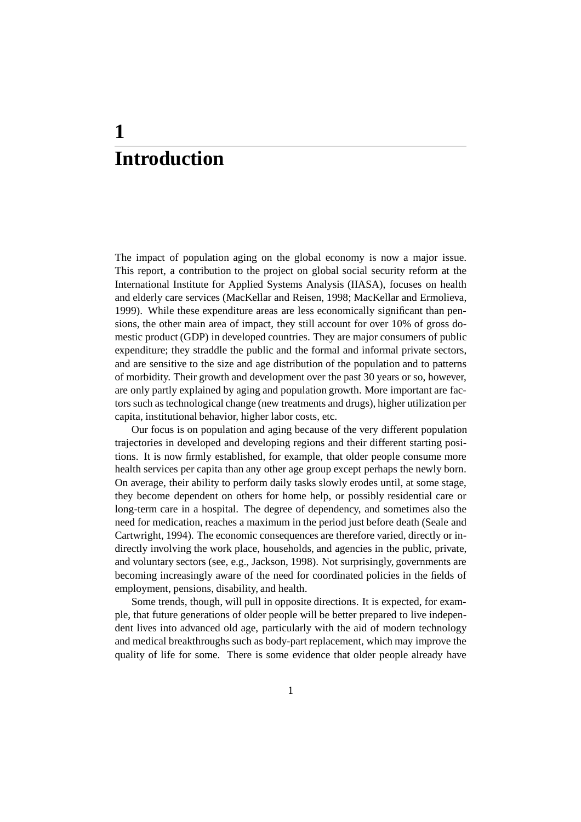### **1 Introduction**

The impact of population aging on the global economy is now a major issue. This report, a contribution to the project on global social security reform at the International Institute for Applied Systems Analysis (IIASA), focuses on health and elderly care services (MacKellar and Reisen, 1998; MacKellar and Ermolieva, 1999). While these expenditure areas are less economically significant than pensions, the other main area of impact, they still account for over 10% of gross domestic product (GDP) in developed countries. They are major consumers of public expenditure; they straddle the public and the formal and informal private sectors, and are sensitive to the size and age distribution of the population and to patterns of morbidity. Their growth and development over the past 30 years or so, however, are only partly explained by aging and population growth. More important are factors such as technological change (new treatments and drugs), higher utilization per capita, institutional behavior, higher labor costs, etc.

Our focus is on population and aging because of the very different population trajectories in developed and developing regions and their different starting positions. It is now firmly established, for example, that older people consume more health services per capita than any other age group except perhaps the newly born. On average, their ability to perform daily tasks slowly erodes until, at some stage, they become dependent on others for home help, or possibly residential care or long-term care in a hospital. The degree of dependency, and sometimes also the need for medication, reaches a maximum in the period just before death (Seale and Cartwright, 1994). The economic consequences are therefore varied, directly or indirectly involving the work place, households, and agencies in the public, private, and voluntary sectors (see, e.g., Jackson, 1998). Not surprisingly, governments are becoming increasingly aware of the need for coordinated policies in the fields of employment, pensions, disability, and health.

Some trends, though, will pull in opposite directions. It is expected, for example, that future generations of older people will be better prepared to live independent lives into advanced old age, particularly with the aid of modern technology and medical breakthroughs such as body-part replacement, which may improve the quality of life for some. There is some evidence that older people already have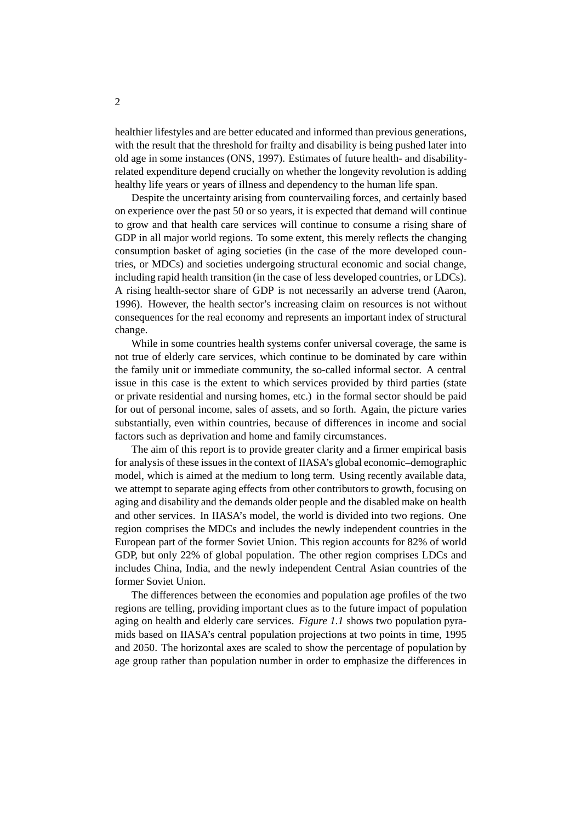healthier lifestyles and are better educated and informed than previous generations, with the result that the threshold for frailty and disability is being pushed later into old age in some instances (ONS, 1997). Estimates of future health- and disabilityrelated expenditure depend crucially on whether the longevity revolution is adding healthy life years or years of illness and dependency to the human life span.

Despite the uncertainty arising from countervailing forces, and certainly based on experience over the past 50 or so years, it is expected that demand will continue to grow and that health care services will continue to consume a rising share of GDP in all major world regions. To some extent, this merely reflects the changing consumption basket of aging societies (in the case of the more developed countries, or MDCs) and societies undergoing structural economic and social change, including rapid health transition (in the case of less developed countries, or LDCs). A rising health-sector share of GDP is not necessarily an adverse trend (Aaron, 1996). However, the health sector's increasing claim on resources is not without consequences for the real economy and represents an important index of structural change.

While in some countries health systems confer universal coverage, the same is not true of elderly care services, which continue to be dominated by care within the family unit or immediate community, the so-called informal sector. A central issue in this case is the extent to which services provided by third parties (state or private residential and nursing homes, etc.) in the formal sector should be paid for out of personal income, sales of assets, and so forth. Again, the picture varies substantially, even within countries, because of differences in income and social factors such as deprivation and home and family circumstances.

The aim of this report is to provide greater clarity and a firmer empirical basis for analysis of these issues in the context of IIASA's global economic–demographic model, which is aimed at the medium to long term. Using recently available data, we attempt to separate aging effects from other contributors to growth, focusing on aging and disability and the demands older people and the disabled make on health and other services. In IIASA's model, the world is divided into two regions. One region comprises the MDCs and includes the newly independent countries in the European part of the former Soviet Union. This region accounts for 82% of world GDP, but only 22% of global population. The other region comprises LDCs and includes China, India, and the newly independent Central Asian countries of the former Soviet Union.

The differences between the economies and population age profiles of the two regions are telling, providing important clues as to the future impact of population aging on health and elderly care services. *Figure 1.1* shows two population pyramids based on IIASA's central population projections at two points in time, 1995 and 2050. The horizontal axes are scaled to show the percentage of population by age group rather than population number in order to emphasize the differences in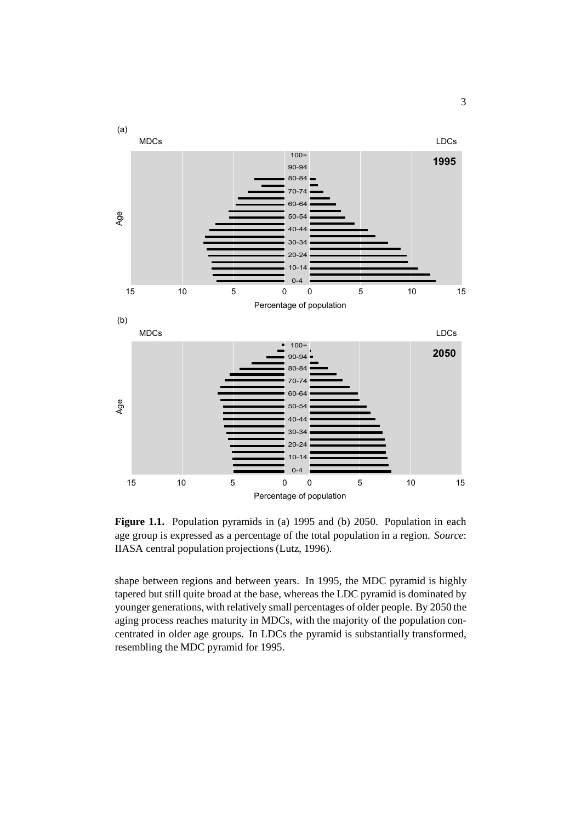

**Figure 1.1.** Population pyramids in (a) 1995 and (b) 2050. Population in each age group is expressed as a percentage of the total population in a region. *Source*: IIASA central population projections (Lutz, 1996).

shape between regions and between years. In 1995, the MDC pyramid is highly tapered but still quite broad at the base, whereas the LDC pyramid is dominated by younger generations, with relatively small percentages of older people. By 2050 the aging process reaches maturity in MDCs, with the majority of the population concentrated in older age groups. In LDCs the pyramid is substantially transformed, resembling the MDC pyramid for 1995.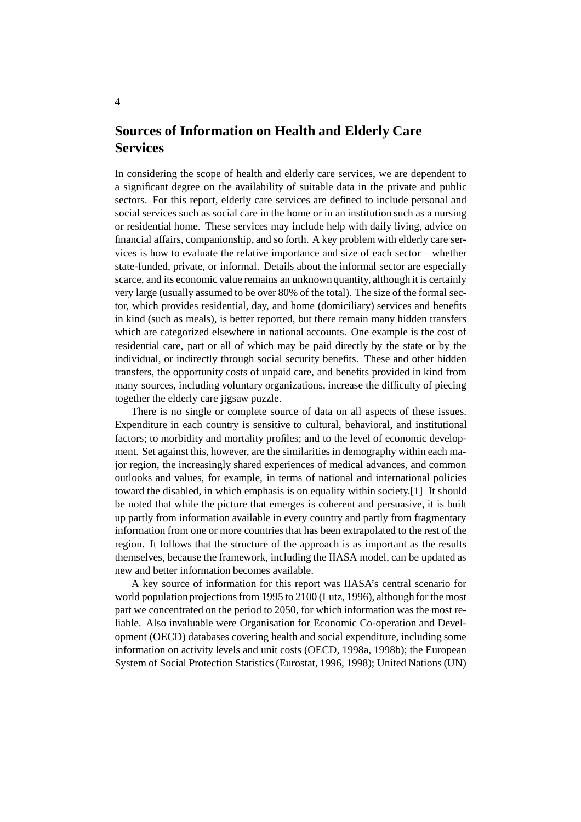### **Sources of Information on Health and Elderly Care Services**

In considering the scope of health and elderly care services, we are dependent to a significant degree on the availability of suitable data in the private and public sectors. For this report, elderly care services are defined to include personal and social services such as social care in the home or in an institution such as a nursing or residential home. These services may include help with daily living, advice on financial affairs, companionship, and so forth. A key problem with elderly care services is how to evaluate the relative importance and size of each sector – whether state-funded, private, or informal. Details about the informal sector are especially scarce, and its economic value remains an unknown quantity, although it is certainly very large (usually assumed to be over 80% of the total). The size of the formal sector, which provides residential, day, and home (domiciliary) services and benefits in kind (such as meals), is better reported, but there remain many hidden transfers which are categorized elsewhere in national accounts. One example is the cost of residential care, part or all of which may be paid directly by the state or by the individual, or indirectly through social security benefits. These and other hidden transfers, the opportunity costs of unpaid care, and benefits provided in kind from many sources, including voluntary organizations, increase the difficulty of piecing together the elderly care jigsaw puzzle.

There is no single or complete source of data on all aspects of these issues. Expenditure in each country is sensitive to cultural, behavioral, and institutional factors; to morbidity and mortality profiles; and to the level of economic development. Set against this, however, are the similarities in demography within each major region, the increasingly shared experiences of medical advances, and common outlooks and values, for example, in terms of national and international policies toward the disabled, in which emphasis is on equality within society.[1] It should be noted that while the picture that emerges is coherent and persuasive, it is built up partly from information available in every country and partly from fragmentary information from one or more countries that has been extrapolated to the rest of the region. It follows that the structure of the approach is as important as the results themselves, because the framework, including the IIASA model, can be updated as new and better information becomes available.

A key source of information for this report was IIASA's central scenario for world population projections from 1995 to 2100 (Lutz, 1996), although for the most part we concentrated on the period to 2050, for which information was the most reliable. Also invaluable were Organisation for Economic Co-operation and Development (OECD) databases covering health and social expenditure, including some information on activity levels and unit costs (OECD, 1998a, 1998b); the European System of Social Protection Statistics (Eurostat, 1996, 1998); United Nations (UN)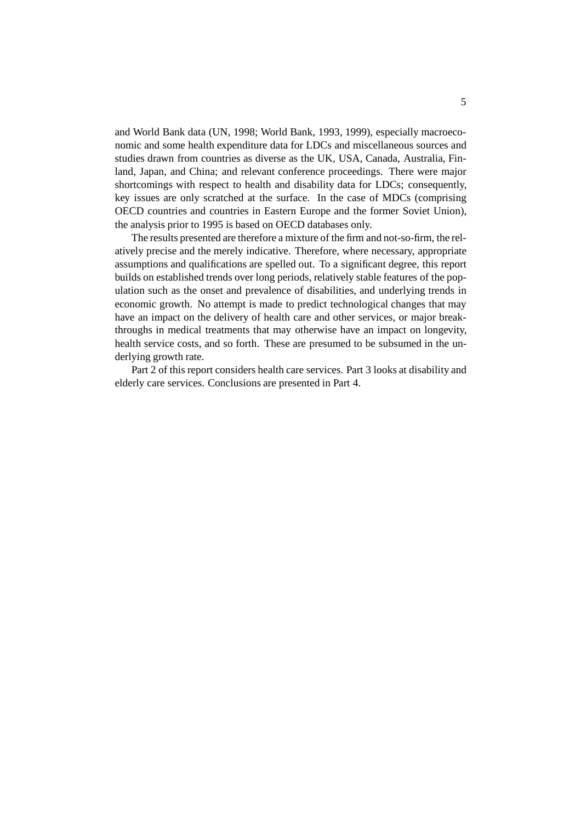and World Bank data (UN, 1998; World Bank, 1993, 1999), especially macroeconomic and some health expenditure data for LDCs and miscellaneous sources and studies drawn from countries as diverse as the UK, USA, Canada, Australia, Finland, Japan, and China; and relevant conference proceedings. There were major shortcomings with respect to health and disability data for LDCs; consequently, key issues are only scratched at the surface. In the case of MDCs (comprising OECD countries and countries in Eastern Europe and the former Soviet Union), the analysis prior to 1995 is based on OECD databases only.

The results presented are therefore a mixture of the firm and not-so-firm, the relatively precise and the merely indicative. Therefore, where necessary, appropriate assumptions and qualifications are spelled out. To a significant degree, this report builds on established trends over long periods, relatively stable features of the population such as the onset and prevalence of disabilities, and underlying trends in economic growth. No attempt is made to predict technological changes that may have an impact on the delivery of health care and other services, or major breakthroughs in medical treatments that may otherwise have an impact on longevity, health service costs, and so forth. These are presumed to be subsumed in the underlying growth rate.

Part 2 of this report considers health care services. Part 3 looks at disability and elderly care services. Conclusions are presented in Part 4.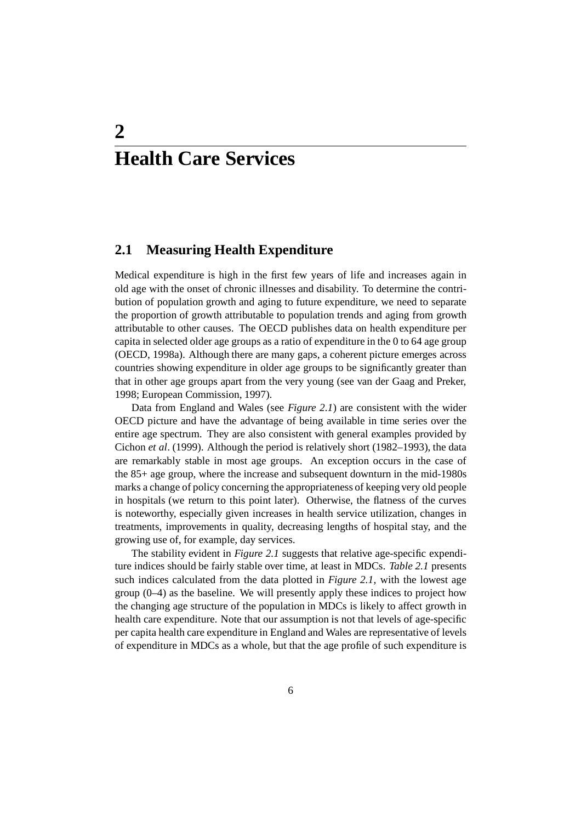## **2 Health Care Services**

#### **2.1 Measuring Health Expenditure**

Medical expenditure is high in the first few years of life and increases again in old age with the onset of chronic illnesses and disability. To determine the contribution of population growth and aging to future expenditure, we need to separate the proportion of growth attributable to population trends and aging from growth attributable to other causes. The OECD publishes data on health expenditure per capita in selected older age groups as a ratio of expenditure in the 0 to 64 age group (OECD, 1998a). Although there are many gaps, a coherent picture emerges across countries showing expenditure in older age groups to be significantly greater than that in other age groups apart from the very young (see van der Gaag and Preker, 1998; European Commission, 1997).

Data from England and Wales (see *Figure 2.1*) are consistent with the wider OECD picture and have the advantage of being available in time series over the entire age spectrum. They are also consistent with general examples provided by Cichon *et al*. (1999). Although the period is relatively short (1982–1993), the data are remarkably stable in most age groups. An exception occurs in the case of the 85+ age group, where the increase and subsequent downturn in the mid-1980s marks a change of policy concerning the appropriateness of keeping very old people in hospitals (we return to this point later). Otherwise, the flatness of the curves is noteworthy, especially given increases in health service utilization, changes in treatments, improvements in quality, decreasing lengths of hospital stay, and the growing use of, for example, day services.

The stability evident in *Figure 2.1* suggests that relative age-specific expenditure indices should be fairly stable over time, at least in MDCs. *Table 2.1* presents such indices calculated from the data plotted in *Figure 2.1*, with the lowest age group  $(0-4)$  as the baseline. We will presently apply these indices to project how the changing age structure of the population in MDCs is likely to affect growth in health care expenditure. Note that our assumption is not that levels of age-specific per capita health care expenditure in England and Wales are representative of levels of expenditure in MDCs as a whole, but that the age profile of such expenditure is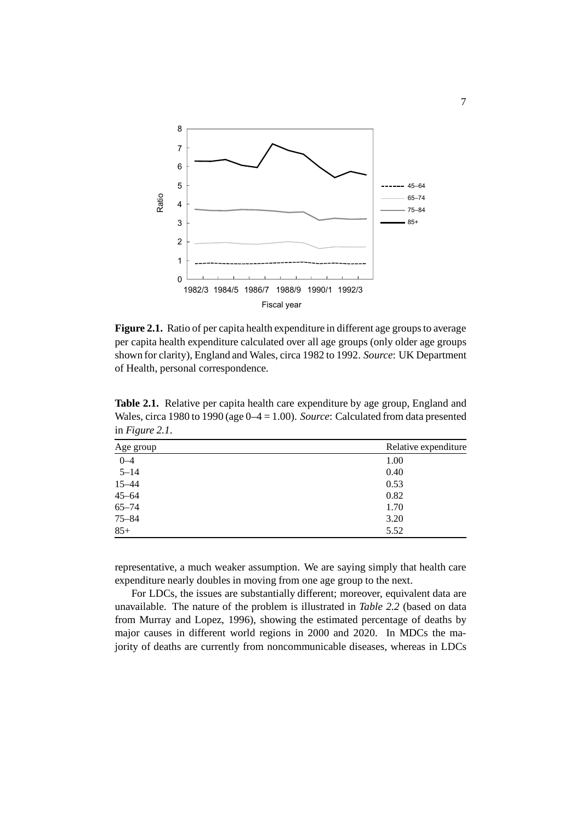

Figure 2.1. Ratio of per capita health expenditure in different age groups to average per capita health expenditure calculated over all age groups (only older age groups shown for clarity), England and Wales, circa 1982 to 1992. *Source*: UK Department of Health, personal correspondence.

| Age group | Relative expenditure |
|-----------|----------------------|
| $0 - 4$   | 1.00                 |
| $5 - 14$  | 0.40                 |
| $15 - 44$ | 0.53                 |
| $45 - 64$ | 0.82                 |
| $65 - 74$ | 1.70                 |
| $75 - 84$ | 3.20                 |
| $85+$     | 5.52                 |
|           |                      |

**Table 2.1.** Relative per capita health care expenditure by age group, England and Wales, circa 1980 to 1990 (age 0–4 = 1.00). *Source*: Calculated from data presented in *Figure 2.1*.

representative, a much weaker assumption. We are saying simply that health care expenditure nearly doubles in moving from one age group to the next.

For LDCs, the issues are substantially different; moreover, equivalent data are unavailable. The nature of the problem is illustrated in *Table 2.2* (based on data from Murray and Lopez, 1996), showing the estimated percentage of deaths by major causes in different world regions in 2000 and 2020. In MDCs the majority of deaths are currently from noncommunicable diseases, whereas in LDCs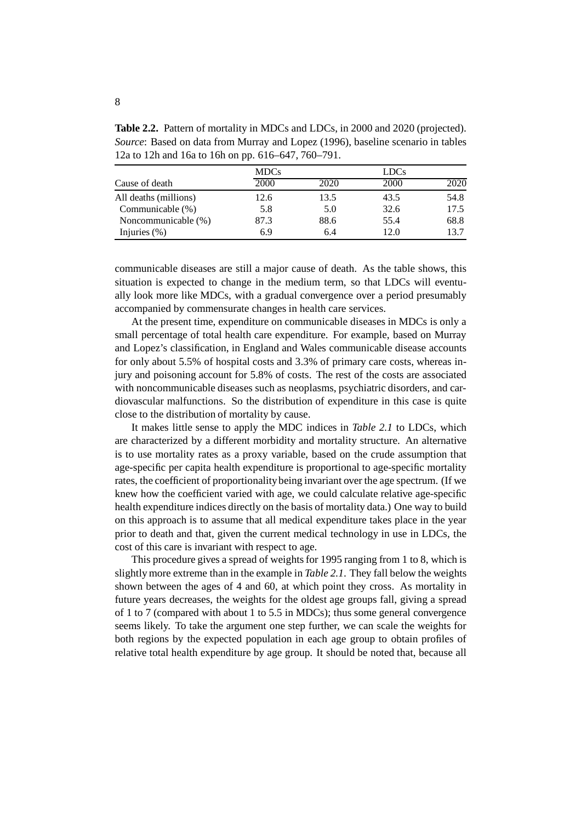**Table 2.2.** Pattern of mortality in MDCs and LDCs, in 2000 and 2020 (projected). *Source*: Based on data from Murray and Lopez (1996), baseline scenario in tables 12a to 12h and 16a to 16h on pp. 616–647, 760–791.

|                       | <b>MDCs</b> |      | <b>LDCs</b> |      |  |
|-----------------------|-------------|------|-------------|------|--|
| Cause of death        | 2000        | 2020 | 2000        | 2020 |  |
| All deaths (millions) | 12.6        | 13.5 | 43.5        | 54.8 |  |
| Communicable (%)      | 5.8         | 5.0  | 32.6        | 17.5 |  |
| Noncommunicable (%)   | 87.3        | 88.6 | 55.4        | 68.8 |  |
| Injuries $(\%)$       | 6.9         | 6.4  | 12.0        | 13.7 |  |

communicable diseases are still a major cause of death. As the table shows, this situation is expected to change in the medium term, so that LDCs will eventually look more like MDCs, with a gradual convergence over a period presumably accompanied by commensurate changes in health care services.

At the present time, expenditure on communicable diseases in MDCs is only a small percentage of total health care expenditure. For example, based on Murray and Lopez's classification, in England and Wales communicable disease accounts for only about 5.5% of hospital costs and 3.3% of primary care costs, whereas injury and poisoning account for 5.8% of costs. The rest of the costs are associated with noncommunicable diseases such as neoplasms, psychiatric disorders, and cardiovascular malfunctions. So the distribution of expenditure in this case is quite close to the distribution of mortality by cause.

It makes little sense to apply the MDC indices in *Table 2.1* to LDCs, which are characterized by a different morbidity and mortality structure. An alternative is to use mortality rates as a proxy variable, based on the crude assumption that age-specific per capita health expenditure is proportional to age-specific mortality rates, the coefficient of proportionalitybeing invariant over the age spectrum. (If we knew how the coefficient varied with age, we could calculate relative age-specific health expenditure indices directly on the basis of mortality data.) One way to build on this approach is to assume that all medical expenditure takes place in the year prior to death and that, given the current medical technology in use in LDCs, the cost of this care is invariant with respect to age.

This procedure gives a spread of weights for 1995 ranging from 1 to 8, which is slightly more extreme than in the example in *Table 2.1*. They fall below the weights shown between the ages of 4 and 60, at which point they cross. As mortality in future years decreases, the weights for the oldest age groups fall, giving a spread of 1 to 7 (compared with about 1 to 5.5 in MDCs); thus some general convergence seems likely. To take the argument one step further, we can scale the weights for both regions by the expected population in each age group to obtain profiles of relative total health expenditure by age group. It should be noted that, because all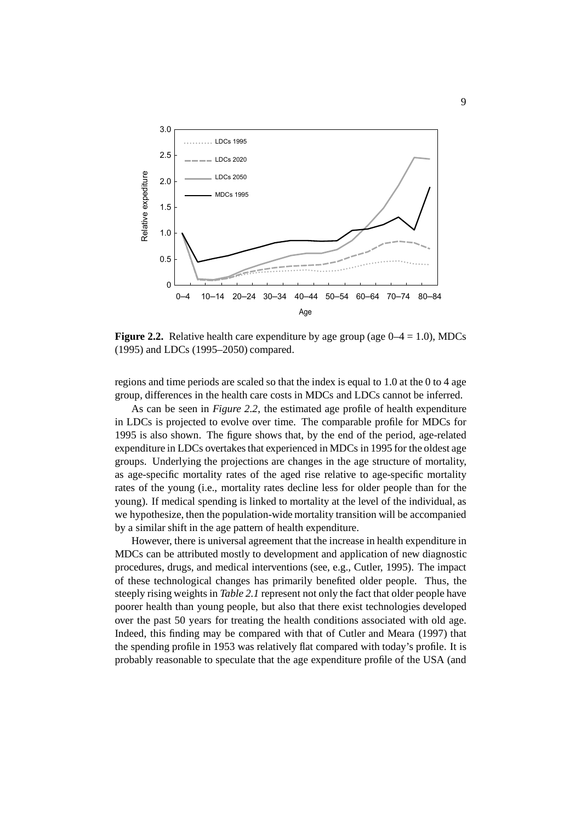

**Figure 2.2.** Relative health care expenditure by age group (age  $0-4 = 1.0$ ), MDCs (1995) and LDCs (1995–2050) compared.

regions and time periods are scaled so that the index is equal to 1.0 at the 0 to 4 age group, differences in the health care costs in MDCs and LDCs cannot be inferred.

As can be seen in *Figure 2.2*, the estimated age profile of health expenditure in LDCs is projected to evolve over time. The comparable profile for MDCs for 1995 is also shown. The figure shows that, by the end of the period, age-related expenditure in LDCs overtakes that experienced in MDCs in 1995 for the oldest age groups. Underlying the projections are changes in the age structure of mortality, as age-specific mortality rates of the aged rise relative to age-specific mortality rates of the young (i.e., mortality rates decline less for older people than for the young). If medical spending is linked to mortality at the level of the individual, as we hypothesize, then the population-wide mortality transition will be accompanied by a similar shift in the age pattern of health expenditure.

However, there is universal agreement that the increase in health expenditure in MDCs can be attributed mostly to development and application of new diagnostic procedures, drugs, and medical interventions (see, e.g., Cutler, 1995). The impact of these technological changes has primarily benefited older people. Thus, the steeply rising weights in *Table 2.1* represent not only the fact that older people have poorer health than young people, but also that there exist technologies developed over the past 50 years for treating the health conditions associated with old age. Indeed, this finding may be compared with that of Cutler and Meara (1997) that the spending profile in 1953 was relatively flat compared with today's profile. It is probably reasonable to speculate that the age expenditure profile of the USA (and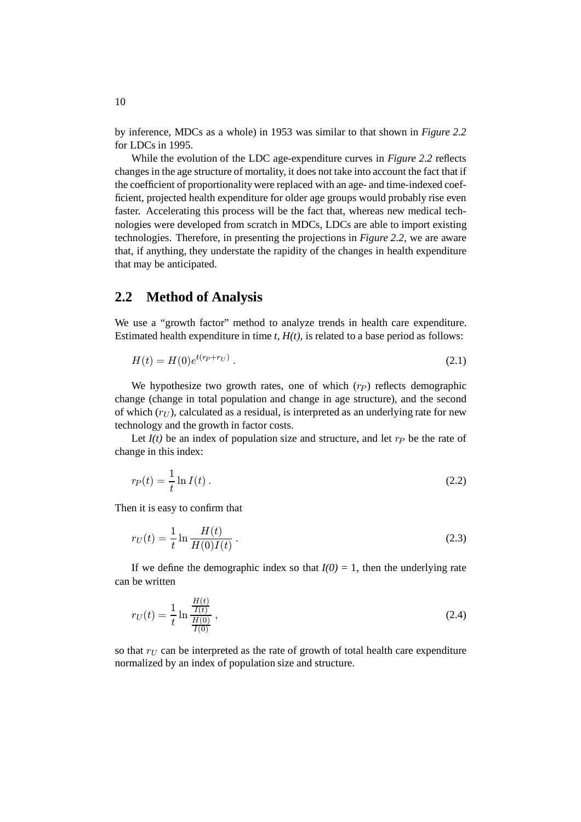by inference, MDCs as a whole) in 1953 was similar to that shown in *Figure 2.2* for LDCs in 1995.

While the evolution of the LDC age-expenditure curves in *Figure 2.2* reflects changes in the age structure of mortality, it does not take into account the fact that if the coefficient of proportionality were replaced with an age- and time-indexed coefficient, projected health expenditure for older age groups would probably rise even faster. Accelerating this process will be the fact that, whereas new medical technologies were developed from scratch in MDCs, LDCs are able to import existing technologies. Therefore, in presenting the projections in *Figure 2.2*, we are aware that, if anything, they understate the rapidity of the changes in health expenditure that may be anticipated.

#### **2.2 Method of Analysis**

We use a "growth factor" method to analyze trends in health care expenditure. Estimated health expenditure in time  $t$ ,  $H(t)$ , is related to a base period as follows:

$$
H(t) = H(0)e^{t(r_P + r_U)}.
$$
\n(2.1)

We hypothesize two growth rates, one of which  $(r_P)$  reflects demographic change (change in total population and change in age structure), and the second of which  $(r_U)$ , calculated as a residual, is interpreted as an underlying rate for new technology and the growth in factor costs.

Let  $I(t)$  be an index of population size and structure, and let  $r_P$  be the rate of change in this index:

$$
r_P(t) = \frac{1}{t} \ln I(t) \tag{2.2}
$$

Then it is easy to confirm that

$$
r_U(t) = \frac{1}{t} \ln \frac{H(t)}{H(0)I(t)}.
$$
\n(2.3)

If we define the demographic index so that  $I(0) = 1$ , then the underlying rate can be written

$$
r_U(t) = \frac{1}{t} \ln \frac{\frac{H(t)}{I(t)}}{\frac{H(0)}{I(0)}},
$$
\n(2.4)

so that  $r_U$  can be interpreted as the rate of growth of total health care expenditure normalized by an index of population size and structure.

10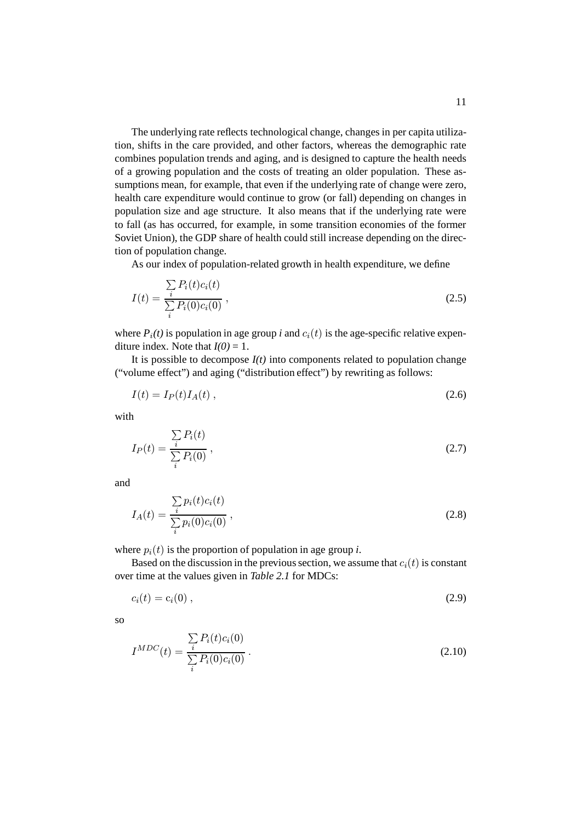The underlying rate reflects technological change, changes in per capita utilization, shifts in the care provided, and other factors, whereas the demographic rate combines population trends and aging, and is designed to capture the health needs of a growing population and the costs of treating an older population. These assumptions mean, for example, that even if the underlying rate of change were zero, health care expenditure would continue to grow (or fall) depending on changes in population size and age structure. It also means that if the underlying rate were to fall (as has occurred, for example, in some transition economies of the former Soviet Union), the GDP share of health could still increase depending on the direction of population change.

As our index of population-related growth in health expenditure, we define

$$
I(t) = \frac{\sum_{i} P_i(t)c_i(t)}{\sum_{i} P_i(0)c_i(0)},
$$
\n(2.5)

where  $P_i(t)$  is population in age group *i* and  $c_i(t)$  is the age-specific relative expenditure index. Note that  $I(0) = 1$ .

It is possible to decompose  $I(t)$  into components related to population change ("volume effect") and aging ("distribution effect") by rewriting as follows:

$$
I(t) = I_P(t)I_A(t) , \qquad (2.6)
$$

with

$$
I_P(t) = \frac{\sum\limits_i P_i(t)}{\sum\limits_i P_i(0)},\tag{2.7}
$$

and

$$
I_A(t) = \frac{\sum_{i} p_i(t)c_i(t)}{\sum_{i} p_i(0)c_i(0)},
$$
\n(2.8)

where  $p_i(t)$  is the proportion of population in age group *i*.

Based on the discussion in the previous section, we assume that  $c_i(t)$  is constant over time at the values given in *Table 2.1* for MDCs:

$$
c_i(t) = c_i(0) \tag{2.9}
$$

so

$$
I^{MDC}(t) = \frac{\sum_{i} P_i(t)c_i(0)}{\sum_{i} P_i(0)c_i(0)}.
$$
\n(2.10)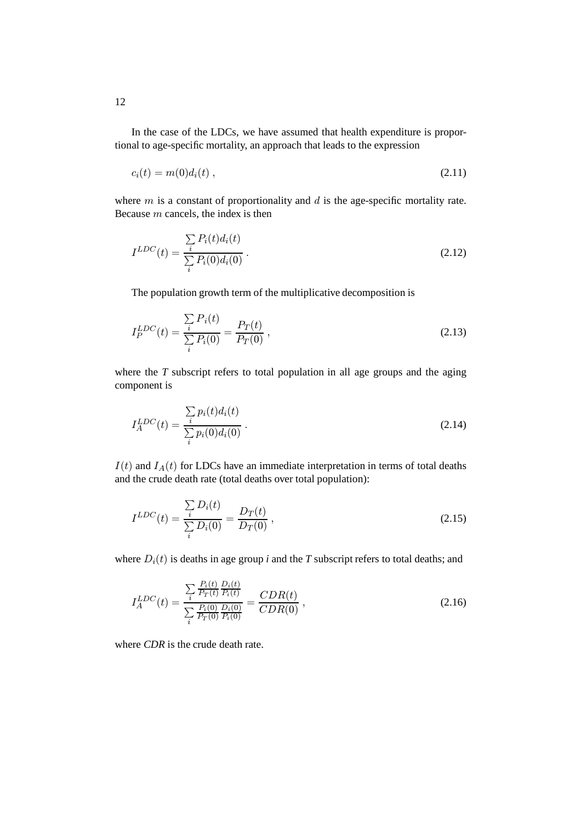In the case of the LDCs, we have assumed that health expenditure is proportional to age-specific mortality, an approach that leads to the expression

$$
c_i(t) = m(0)d_i(t) \t\t(2.11)
$$

where  $m$  is a constant of proportionality and  $d$  is the age-specific mortality rate. Because m cancels, the index is then

$$
I^{LDC}(t) = \frac{\sum_{i} P_i(t) d_i(t)}{\sum_{i} P_i(0) d_i(0)}.
$$
\n(2.12)

The population growth term of the multiplicative decomposition is

$$
I_P^{LDC}(t) = \frac{\sum_{i} P_i(t)}{\sum_{i} P_i(0)} = \frac{P_T(t)}{P_T(0)},
$$
\n(2.13)

where the *T* subscript refers to total population in all age groups and the aging component is

$$
I_A^{LDC}(t) = \frac{\sum_{i} p_i(t) d_i(t)}{\sum_{i} p_i(0) d_i(0)}.
$$
\n(2.14)

 $I(t)$  and  $I_A(t)$  for LDCs have an immediate interpretation in terms of total deaths and the crude death rate (total deaths over total population):

$$
I^{LDC}(t) = \frac{\sum_{i} D_i(t)}{\sum_{i} D_i(0)} = \frac{D_T(t)}{D_T(0)},
$$
\n(2.15)

where  $D_i(t)$  is deaths in age group *i* and the *T* subscript refers to total deaths; and

$$
I_A^{LDC}(t) = \frac{\sum_{i} \frac{P_i(t)}{P_T(t)} \frac{D_i(t)}{P_i(t)}}{\sum_{i} \frac{P_i(0)}{P_T(0)} \frac{D_i(0)}{P_i(0)}} = \frac{CDR(t)}{CDR(0)},
$$
\n(2.16)

where *CDR* is the crude death rate.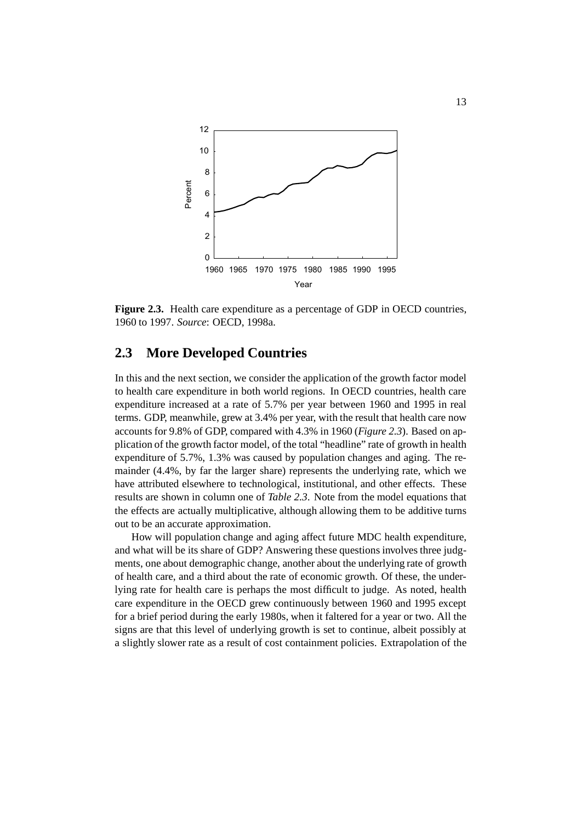

**Figure 2.3.** Health care expenditure as a percentage of GDP in OECD countries, 1960 to 1997. *Source*: OECD, 1998a.

#### **2.3 More Developed Countries**

In this and the next section, we consider the application of the growth factor model to health care expenditure in both world regions. In OECD countries, health care expenditure increased at a rate of 5.7% per year between 1960 and 1995 in real terms. GDP, meanwhile, grew at 3.4% per year, with the result that health care now accounts for 9.8% of GDP, compared with 4.3% in 1960 (*Figure 2.3*). Based on application of the growth factor model, of the total "headline" rate of growth in health expenditure of 5.7%, 1.3% was caused by population changes and aging. The remainder (4.4%, by far the larger share) represents the underlying rate, which we have attributed elsewhere to technological, institutional, and other effects. These results are shown in column one of *Table 2.3*. Note from the model equations that the effects are actually multiplicative, although allowing them to be additive turns out to be an accurate approximation.

How will population change and aging affect future MDC health expenditure, and what will be its share of GDP? Answering these questions involves three judgments, one about demographic change, another about the underlying rate of growth of health care, and a third about the rate of economic growth. Of these, the underlying rate for health care is perhaps the most difficult to judge. As noted, health care expenditure in the OECD grew continuously between 1960 and 1995 except for a brief period during the early 1980s, when it faltered for a year or two. All the signs are that this level of underlying growth is set to continue, albeit possibly at a slightly slower rate as a result of cost containment policies. Extrapolation of the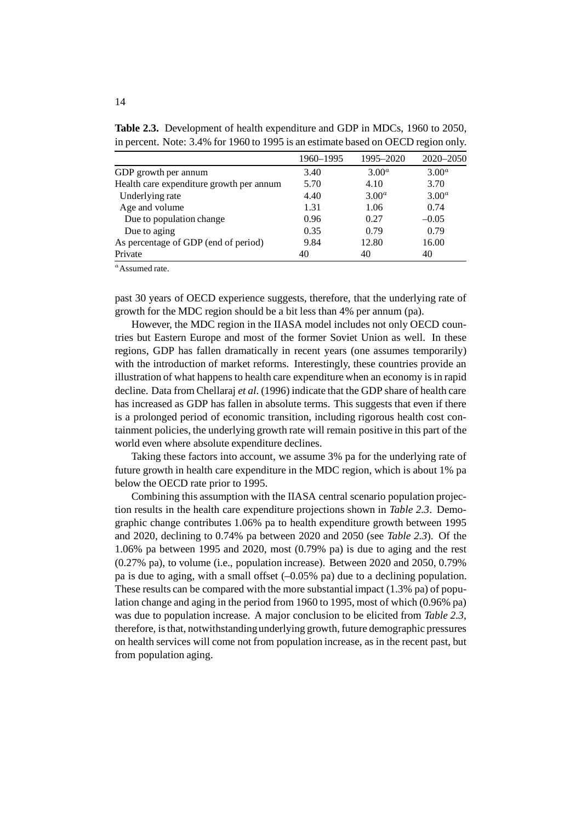|                                          | 1960–1995 | 1995-2020         | $2020 - 2050$     |
|------------------------------------------|-----------|-------------------|-------------------|
| GDP growth per annum                     | 3.40      | 3.00 <sup>a</sup> | 3.00 <sup>a</sup> |
| Health care expenditure growth per annum | 5.70      | 4.10              | 3.70              |
| Underlying rate                          | 4.40      | 3.00 <sup>a</sup> | 3.00 <sup>a</sup> |
| Age and volume                           | 1.31      | 1.06              | 0.74              |
| Due to population change                 | 0.96      | 0.27              | $-0.05$           |
| Due to aging                             | 0.35      | 0.79              | 0.79              |
| As percentage of GDP (end of period)     | 9.84      | 12.80             | 16.00             |
| Private                                  | 40        | 40                | 40                |

**Table 2.3.** Development of health expenditure and GDP in MDCs, 1960 to 2050, in percent. Note: 3.4% for 1960 to 1995 is an estimate based on OECD region only.

 $a<sup>a</sup>$ Assumed rate.

past 30 years of OECD experience suggests, therefore, that the underlying rate of growth for the MDC region should be a bit less than 4% per annum (pa).

However, the MDC region in the IIASA model includes not only OECD countries but Eastern Europe and most of the former Soviet Union as well. In these regions, GDP has fallen dramatically in recent years (one assumes temporarily) with the introduction of market reforms. Interestingly, these countries provide an illustration of what happens to health care expenditure when an economy is in rapid decline. Data from Chellaraj *et al*. (1996) indicate that the GDP share of health care has increased as GDP has fallen in absolute terms. This suggests that even if there is a prolonged period of economic transition, including rigorous health cost containment policies, the underlying growth rate will remain positive in this part of the world even where absolute expenditure declines.

Taking these factors into account, we assume 3% pa for the underlying rate of future growth in health care expenditure in the MDC region, which is about 1% pa below the OECD rate prior to 1995.

Combining this assumption with the IIASA central scenario population projection results in the health care expenditure projections shown in *Table 2.3*. Demographic change contributes 1.06% pa to health expenditure growth between 1995 and 2020, declining to 0.74% pa between 2020 and 2050 (see *Table 2.3*). Of the 1.06% pa between 1995 and 2020, most (0.79% pa) is due to aging and the rest (0.27% pa), to volume (i.e., population increase). Between 2020 and 2050, 0.79% pa is due to aging, with a small offset (–0.05% pa) due to a declining population. These results can be compared with the more substantial impact (1.3% pa) of population change and aging in the period from 1960 to 1995, most of which (0.96% pa) was due to population increase. A major conclusion to be elicited from *Table 2.3*, therefore, is that, notwithstandingunderlying growth, future demographic pressures on health services will come not from population increase, as in the recent past, but from population aging.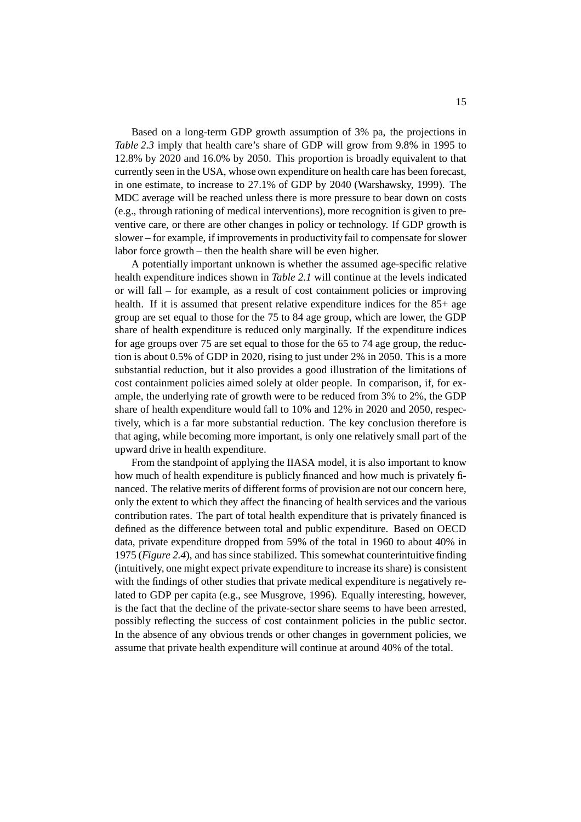Based on a long-term GDP growth assumption of 3% pa, the projections in *Table 2.3* imply that health care's share of GDP will grow from 9.8% in 1995 to 12.8% by 2020 and 16.0% by 2050. This proportion is broadly equivalent to that currently seen in the USA, whose own expenditure on health care has been forecast, in one estimate, to increase to 27.1% of GDP by 2040 (Warshawsky, 1999). The MDC average will be reached unless there is more pressure to bear down on costs (e.g., through rationing of medical interventions), more recognition is given to preventive care, or there are other changes in policy or technology. If GDP growth is slower – for example, if improvements in productivity fail to compensate for slower labor force growth – then the health share will be even higher.

A potentially important unknown is whether the assumed age-specific relative health expenditure indices shown in *Table 2.1* will continue at the levels indicated or will fall – for example, as a result of cost containment policies or improving health. If it is assumed that present relative expenditure indices for the 85+ age group are set equal to those for the 75 to 84 age group, which are lower, the GDP share of health expenditure is reduced only marginally. If the expenditure indices for age groups over 75 are set equal to those for the 65 to 74 age group, the reduction is about 0.5% of GDP in 2020, rising to just under 2% in 2050. This is a more substantial reduction, but it also provides a good illustration of the limitations of cost containment policies aimed solely at older people. In comparison, if, for example, the underlying rate of growth were to be reduced from 3% to 2%, the GDP share of health expenditure would fall to 10% and 12% in 2020 and 2050, respectively, which is a far more substantial reduction. The key conclusion therefore is that aging, while becoming more important, is only one relatively small part of the upward drive in health expenditure.

From the standpoint of applying the IIASA model, it is also important to know how much of health expenditure is publicly financed and how much is privately financed. The relative merits of different forms of provision are not our concern here, only the extent to which they affect the financing of health services and the various contribution rates. The part of total health expenditure that is privately financed is defined as the difference between total and public expenditure. Based on OECD data, private expenditure dropped from 59% of the total in 1960 to about 40% in 1975 (*Figure 2.4*), and has since stabilized. This somewhat counterintuitive finding (intuitively, one might expect private expenditure to increase its share) is consistent with the findings of other studies that private medical expenditure is negatively related to GDP per capita (e.g., see Musgrove, 1996). Equally interesting, however, is the fact that the decline of the private-sector share seems to have been arrested, possibly reflecting the success of cost containment policies in the public sector. In the absence of any obvious trends or other changes in government policies, we assume that private health expenditure will continue at around 40% of the total.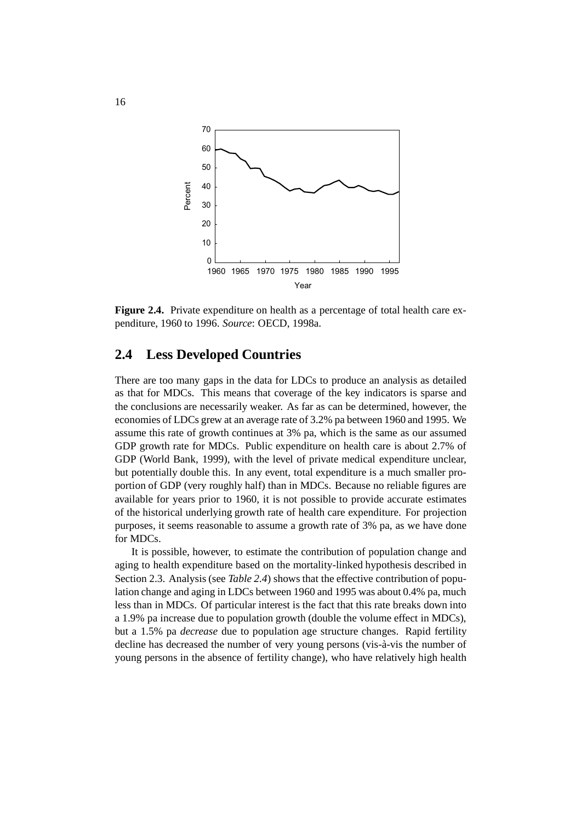

**Figure 2.4.** Private expenditure on health as a percentage of total health care expenditure, 1960 to 1996. *Source*: OECD, 1998a.

#### **2.4 Less Developed Countries**

There are too many gaps in the data for LDCs to produce an analysis as detailed as that for MDCs. This means that coverage of the key indicators is sparse and the conclusions are necessarily weaker. As far as can be determined, however, the economies of LDCs grew at an average rate of 3.2% pa between 1960 and 1995. We assume this rate of growth continues at 3% pa, which is the same as our assumed GDP growth rate for MDCs. Public expenditure on health care is about 2.7% of GDP (World Bank, 1999), with the level of private medical expenditure unclear, but potentially double this. In any event, total expenditure is a much smaller proportion of GDP (very roughly half) than in MDCs. Because no reliable figures are available for years prior to 1960, it is not possible to provide accurate estimates of the historical underlying growth rate of health care expenditure. For projection purposes, it seems reasonable to assume a growth rate of 3% pa, as we have done for MDCs.

It is possible, however, to estimate the contribution of population change and aging to health expenditure based on the mortality-linked hypothesis described in Section 2.3. Analysis (see *Table 2.4*) shows that the effective contribution of population change and aging in LDCs between 1960 and 1995 was about 0.4% pa, much less than in MDCs. Of particular interest is the fact that this rate breaks down into a 1.9% pa increase due to population growth (double the volume effect in MDCs), but a 1.5% pa *decrease* due to population age structure changes. Rapid fertility decline has decreased the number of very young persons (vis-à-vis the number of young persons in the absence of fertility change), who have relatively high health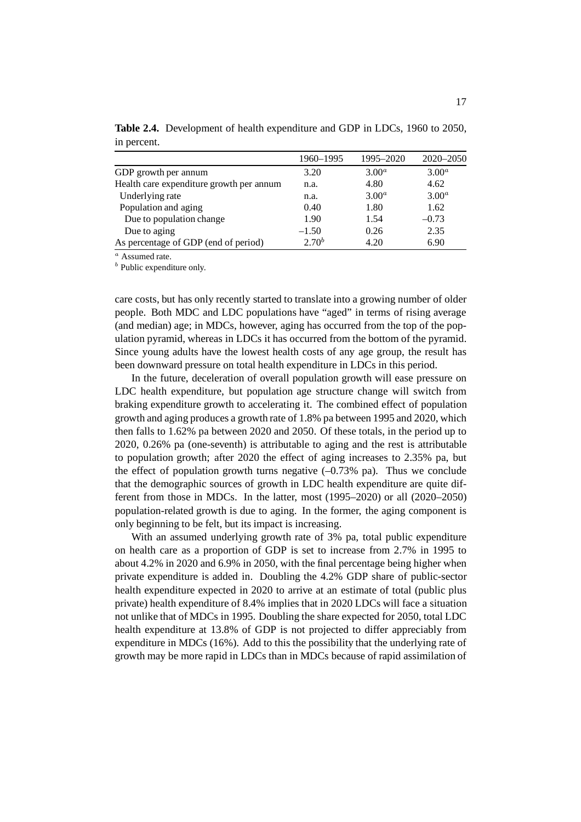|                                          | 1960–1995  | 1995–2020         | 2020-2050         |
|------------------------------------------|------------|-------------------|-------------------|
| GDP growth per annum                     | 3.20       | $3.00^a$          | 3.00 <sup>a</sup> |
| Health care expenditure growth per annum | n.a.       | 4.80              | 4.62              |
| Underlying rate                          | n.a.       | 3.00 <sup>a</sup> | 3.00 <sup>a</sup> |
| Population and aging                     | 0.40       | 1.80              | 1.62              |
| Due to population change                 | 1.90       | 1.54              | $-0.73$           |
| Due to aging                             | $-1.50$    | 0.26              | 2.35              |
| As percentage of GDP (end of period)     | $2.70^{b}$ | 4.20              | 6.90              |

**Table 2.4.** Development of health expenditure and GDP in LDCs, 1960 to 2050, in percent.

<sup>a</sup> Assumed rate.

 $<sup>b</sup>$  Public expenditure only.</sup>

care costs, but has only recently started to translate into a growing number of older people. Both MDC and LDC populations have "aged" in terms of rising average (and median) age; in MDCs, however, aging has occurred from the top of the population pyramid, whereas in LDCs it has occurred from the bottom of the pyramid. Since young adults have the lowest health costs of any age group, the result has been downward pressure on total health expenditure in LDCs in this period.

In the future, deceleration of overall population growth will ease pressure on LDC health expenditure, but population age structure change will switch from braking expenditure growth to accelerating it. The combined effect of population growth and aging produces a growth rate of 1.8% pa between 1995 and 2020, which then falls to 1.62% pa between 2020 and 2050. Of these totals, in the period up to 2020, 0.26% pa (one-seventh) is attributable to aging and the rest is attributable to population growth; after 2020 the effect of aging increases to 2.35% pa, but the effect of population growth turns negative  $(-0.73\%$  pa). Thus we conclude that the demographic sources of growth in LDC health expenditure are quite different from those in MDCs. In the latter, most (1995–2020) or all (2020–2050) population-related growth is due to aging. In the former, the aging component is only beginning to be felt, but its impact is increasing.

With an assumed underlying growth rate of 3% pa, total public expenditure on health care as a proportion of GDP is set to increase from 2.7% in 1995 to about 4.2% in 2020 and 6.9% in 2050, with the final percentage being higher when private expenditure is added in. Doubling the 4.2% GDP share of public-sector health expenditure expected in 2020 to arrive at an estimate of total (public plus private) health expenditure of 8.4% implies that in 2020 LDCs will face a situation not unlike that of MDCs in 1995. Doubling the share expected for 2050, total LDC health expenditure at 13.8% of GDP is not projected to differ appreciably from expenditure in MDCs (16%). Add to this the possibility that the underlying rate of growth may be more rapid in LDCs than in MDCs because of rapid assimilation of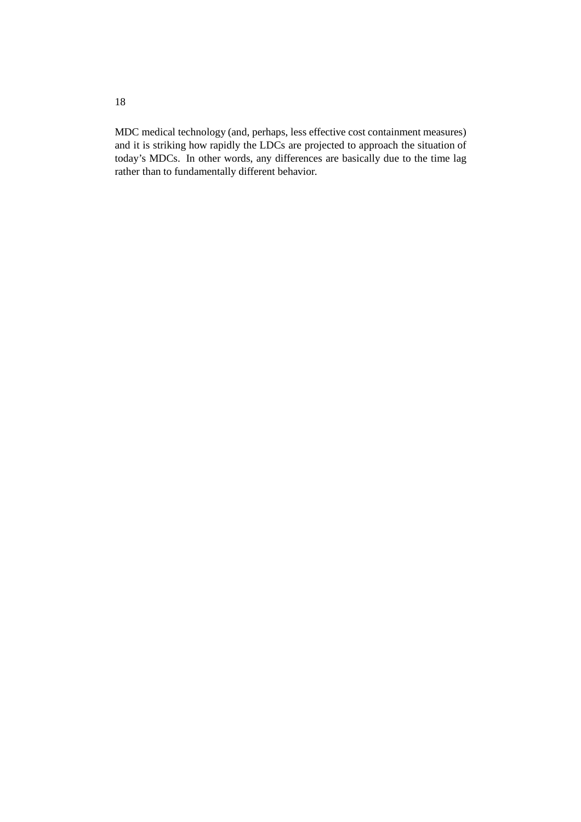MDC medical technology (and, perhaps, less effective cost containment measures) and it is striking how rapidly the LDCs are projected to approach the situation of today's MDCs. In other words, any differences are basically due to the time lag rather than to fundamentally different behavior.

18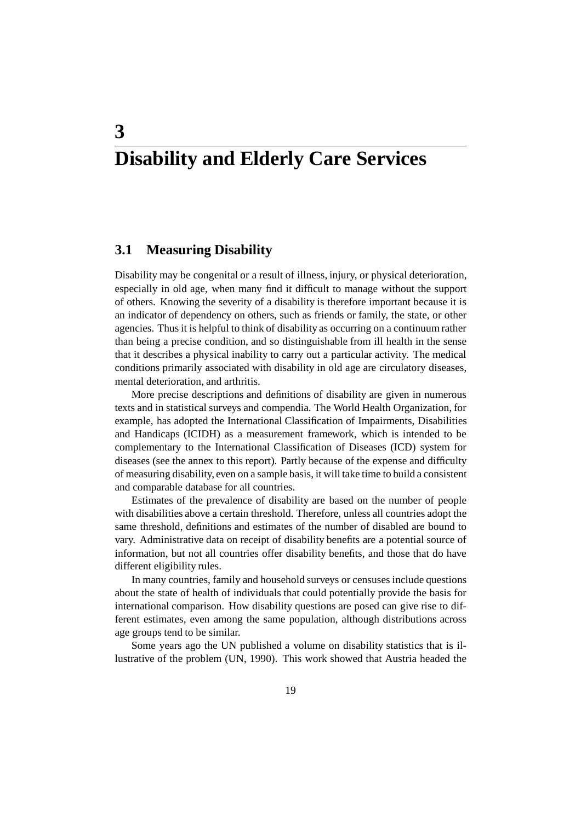# **Disability and Elderly Care Services**

#### **3.1 Measuring Disability**

**3**

Disability may be congenital or a result of illness, injury, or physical deterioration, especially in old age, when many find it difficult to manage without the support of others. Knowing the severity of a disability is therefore important because it is an indicator of dependency on others, such as friends or family, the state, or other agencies. Thus it is helpful to think of disability as occurring on a continuum rather than being a precise condition, and so distinguishable from ill health in the sense that it describes a physical inability to carry out a particular activity. The medical conditions primarily associated with disability in old age are circulatory diseases, mental deterioration, and arthritis.

More precise descriptions and definitions of disability are given in numerous texts and in statistical surveys and compendia. The World Health Organization, for example, has adopted the International Classification of Impairments, Disabilities and Handicaps (ICIDH) as a measurement framework, which is intended to be complementary to the International Classification of Diseases (ICD) system for diseases (see the annex to this report). Partly because of the expense and difficulty of measuring disability, even on a sample basis, it will take time to build a consistent and comparable database for all countries.

Estimates of the prevalence of disability are based on the number of people with disabilities above a certain threshold. Therefore, unless all countries adopt the same threshold, definitions and estimates of the number of disabled are bound to vary. Administrative data on receipt of disability benefits are a potential source of information, but not all countries offer disability benefits, and those that do have different eligibility rules.

In many countries, family and household surveys or censuses include questions about the state of health of individuals that could potentially provide the basis for international comparison. How disability questions are posed can give rise to different estimates, even among the same population, although distributions across age groups tend to be similar.

Some years ago the UN published a volume on disability statistics that is illustrative of the problem (UN, 1990). This work showed that Austria headed the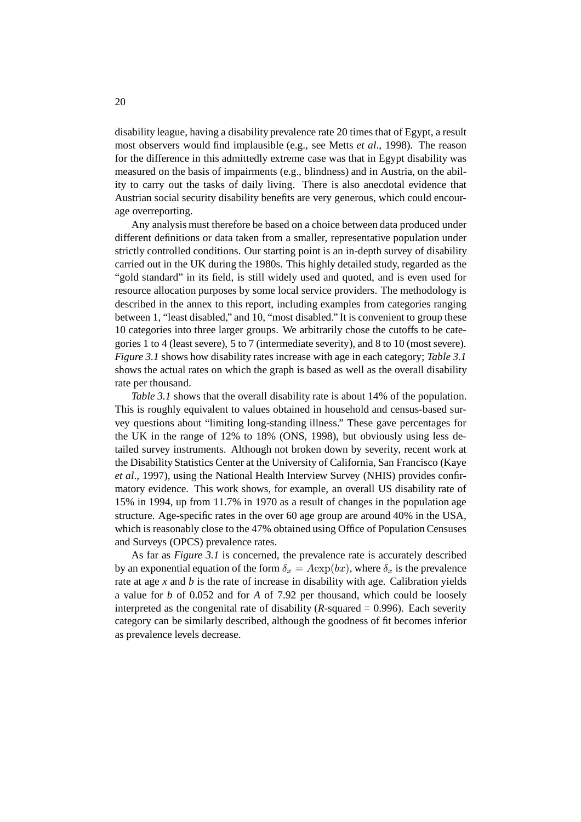disability league, having a disability prevalence rate 20 times that of Egypt, a result most observers would find implausible (e.g., see Metts *et al*., 1998). The reason for the difference in this admittedly extreme case was that in Egypt disability was measured on the basis of impairments (e.g., blindness) and in Austria, on the ability to carry out the tasks of daily living. There is also anecdotal evidence that Austrian social security disability benefits are very generous, which could encourage overreporting.

Any analysis must therefore be based on a choice between data produced under different definitions or data taken from a smaller, representative population under strictly controlled conditions. Our starting point is an in-depth survey of disability carried out in the UK during the 1980s. This highly detailed study, regarded as the "gold standard" in its field, is still widely used and quoted, and is even used for resource allocation purposes by some local service providers. The methodology is described in the annex to this report, including examples from categories ranging between 1, "least disabled," and 10, "most disabled." It is convenient to group these 10 categories into three larger groups. We arbitrarily chose the cutoffs to be categories 1 to 4 (least severe), 5 to 7 (intermediate severity), and 8 to 10 (most severe). *Figure 3.1* shows how disability rates increase with age in each category; *Table 3.1* shows the actual rates on which the graph is based as well as the overall disability rate per thousand.

*Table 3.1* shows that the overall disability rate is about 14% of the population. This is roughly equivalent to values obtained in household and census-based survey questions about "limiting long-standing illness." These gave percentages for the UK in the range of 12% to 18% (ONS, 1998), but obviously using less detailed survey instruments. Although not broken down by severity, recent work at the Disability Statistics Center at the University of California, San Francisco (Kaye *et al*., 1997), using the National Health Interview Survey (NHIS) provides confirmatory evidence. This work shows, for example, an overall US disability rate of 15% in 1994, up from 11.7% in 1970 as a result of changes in the population age structure. Age-specific rates in the over 60 age group are around 40% in the USA, which is reasonably close to the 47% obtained using Office of Population Censuses and Surveys (OPCS) prevalence rates.

As far as *Figure 3.1* is concerned, the prevalence rate is accurately described by an exponential equation of the form  $\delta_x = A \exp(bx)$ , where  $\delta_x$  is the prevalence rate at age *x* and *b* is the rate of increase in disability with age. Calibration yields a value for *b* of 0.052 and for *A* of 7.92 per thousand, which could be loosely interpreted as the congenital rate of disability  $(R$ -squared  $= 0.996$ ). Each severity category can be similarly described, although the goodness of fit becomes inferior as prevalence levels decrease.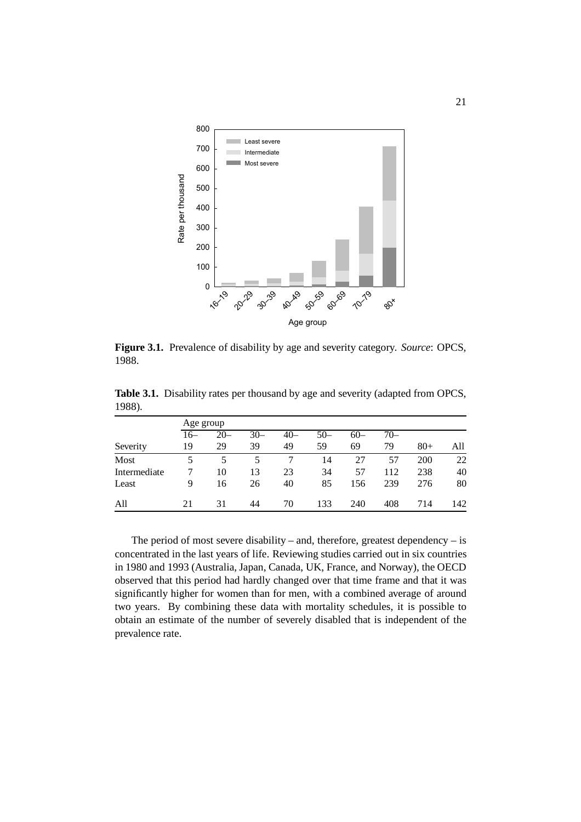

**Figure 3.1.** Prevalence of disability by age and severity category. *Source*: OPCS, 1988.

| 1988).   |           |        |       |       |       |       |       |        |     |
|----------|-----------|--------|-------|-------|-------|-------|-------|--------|-----|
|          | Age group |        |       |       |       |       |       |        |     |
|          | 16–       | $20 -$ | $30-$ | $40-$ | $50-$ | $60-$ | $70-$ |        |     |
| Severity | 19        | 29     | 39    | 49    | 59    | 69    | 79    | $80 +$ | All |
| Most     |           |        |       |       | 14    | つつ    |       | 200    | 22  |

Intermediate 7 10 13 23 34 57 112 238 40 Least 9 16 26 40 85 156 239 276 80

All 21 31 44 70 133 240 408 714 142

**Table 3.1.** Disability rates per thousand by age and severity (adapted from OPCS,

The period of most severe disability – and, therefore, greatest dependency – is concentrated in the last years of life. Reviewing studies carried out in six countries in 1980 and 1993 (Australia, Japan, Canada, UK, France, and Norway), the OECD observed that this period had hardly changed over that time frame and that it was significantly higher for women than for men, with a combined average of around two years. By combining these data with mortality schedules, it is possible to obtain an estimate of the number of severely disabled that is independent of the prevalence rate.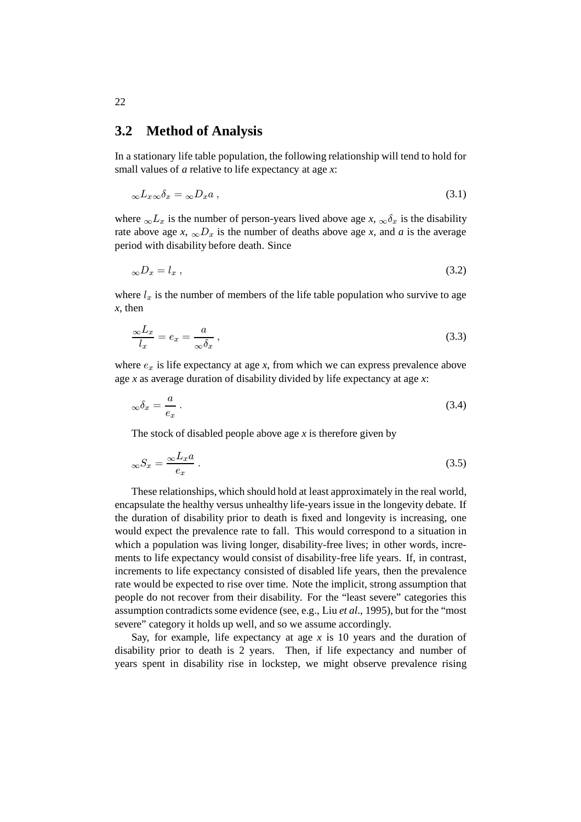#### **3.2 Method of Analysis**

In a stationary life table population, the following relationship will tend to hold for small values of *a* relative to life expectancy at age *x*:

$$
{}_{\infty}L_{x\infty}\delta_x = {}_{\infty}D_xa \,, \tag{3.1}
$$

where  $\infty L_x$  is the number of person-years lived above age *x*,  $\infty \delta_x$  is the disability rate above age *x*,  $\infty D_x$  is the number of deaths above age *x*, and *a* is the average period with disability before death. Since

$$
{}_{\infty}D_x = l_x \,, \tag{3.2}
$$

where  $l_x$  is the number of members of the life table population who survive to age *x*, then

$$
\frac{\infty L_x}{l_x} = e_x = \frac{a}{\infty \delta_x},\tag{3.3}
$$

where  $e_x$  is life expectancy at age  $x$ , from which we can express prevalence above age *x* as average duration of disability divided by life expectancy at age *x*:

$$
_{\infty}\delta_{x} = \frac{a}{e_{x}}\,. \tag{3.4}
$$

The stock of disabled people above age *x* is therefore given by

$$
{}_{\infty}S_x = \frac{{}_{\infty}L_x a}{e_x} \,. \tag{3.5}
$$

These relationships, which should hold at least approximately in the real world, encapsulate the healthy versus unhealthy life-years issue in the longevity debate. If the duration of disability prior to death is fixed and longevity is increasing, one would expect the prevalence rate to fall. This would correspond to a situation in which a population was living longer, disability-free lives; in other words, increments to life expectancy would consist of disability-free life years. If, in contrast, increments to life expectancy consisted of disabled life years, then the prevalence rate would be expected to rise over time. Note the implicit, strong assumption that people do not recover from their disability. For the "least severe" categories this assumption contradicts some evidence (see, e.g., Liu *et al*., 1995), but for the "most severe" category it holds up well, and so we assume accordingly.

Say, for example, life expectancy at age  $x$  is 10 years and the duration of disability prior to death is 2 years. Then, if life expectancy and number of years spent in disability rise in lockstep, we might observe prevalence rising

22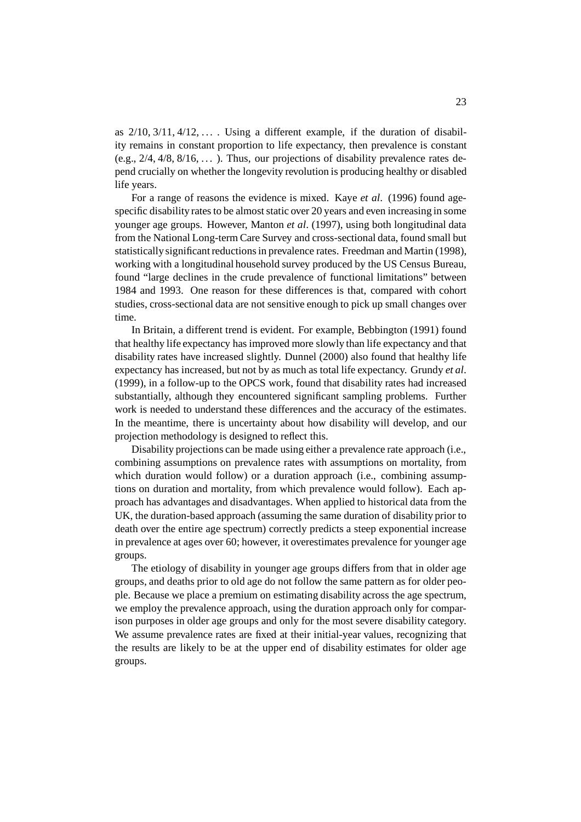as  $2/10$ ,  $3/11$ ,  $4/12$ ,  $\dots$ . Using a different example, if the duration of disability remains in constant proportion to life expectancy, then prevalence is constant (e.g.,  $2/4$ ,  $4/8$ ,  $8/16$ , ...). Thus, our projections of disability prevalence rates depend crucially on whether the longevity revolution is producing healthy or disabled life years.

For a range of reasons the evidence is mixed. Kaye *et al*. (1996) found agespecific disability rates to be almost static over 20 years and even increasing in some younger age groups. However, Manton *et al*. (1997), using both longitudinal data from the National Long-term Care Survey and cross-sectional data, found small but statistically significant reductions in prevalence rates. Freedman and Martin (1998), working with a longitudinal household survey produced by the US Census Bureau, found "large declines in the crude prevalence of functional limitations" between 1984 and 1993. One reason for these differences is that, compared with cohort studies, cross-sectional data are not sensitive enough to pick up small changes over time.

In Britain, a different trend is evident. For example, Bebbington (1991) found that healthy life expectancy has improved more slowly than life expectancy and that disability rates have increased slightly. Dunnel (2000) also found that healthy life expectancy has increased, but not by as much as total life expectancy. Grundy *et al*. (1999), in a follow-up to the OPCS work, found that disability rates had increased substantially, although they encountered significant sampling problems. Further work is needed to understand these differences and the accuracy of the estimates. In the meantime, there is uncertainty about how disability will develop, and our projection methodology is designed to reflect this.

Disability projections can be made using either a prevalence rate approach (i.e., combining assumptions on prevalence rates with assumptions on mortality, from which duration would follow) or a duration approach (i.e., combining assumptions on duration and mortality, from which prevalence would follow). Each approach has advantages and disadvantages. When applied to historical data from the UK, the duration-based approach (assuming the same duration of disability prior to death over the entire age spectrum) correctly predicts a steep exponential increase in prevalence at ages over 60; however, it overestimates prevalence for younger age groups.

The etiology of disability in younger age groups differs from that in older age groups, and deaths prior to old age do not follow the same pattern as for older people. Because we place a premium on estimating disability across the age spectrum, we employ the prevalence approach, using the duration approach only for comparison purposes in older age groups and only for the most severe disability category. We assume prevalence rates are fixed at their initial-year values, recognizing that the results are likely to be at the upper end of disability estimates for older age groups.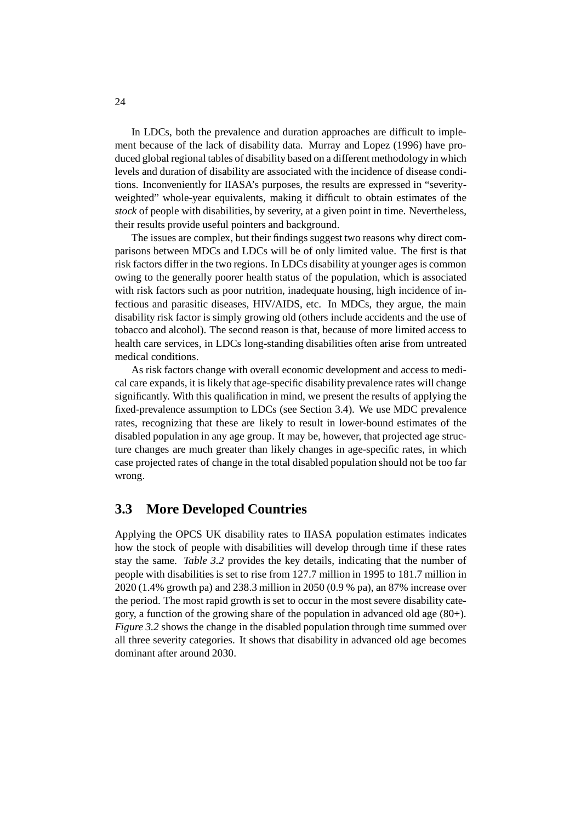In LDCs, both the prevalence and duration approaches are difficult to implement because of the lack of disability data. Murray and Lopez (1996) have produced global regional tables of disability based on a different methodology in which levels and duration of disability are associated with the incidence of disease conditions. Inconveniently for IIASA's purposes, the results are expressed in "severityweighted" whole-year equivalents, making it difficult to obtain estimates of the *stock* of people with disabilities, by severity, at a given point in time. Nevertheless, their results provide useful pointers and background.

The issues are complex, but their findings suggest two reasons why direct comparisons between MDCs and LDCs will be of only limited value. The first is that risk factors differ in the two regions. In LDCs disability at younger ages is common owing to the generally poorer health status of the population, which is associated with risk factors such as poor nutrition, inadequate housing, high incidence of infectious and parasitic diseases, HIV/AIDS, etc. In MDCs, they argue, the main disability risk factor is simply growing old (others include accidents and the use of tobacco and alcohol). The second reason is that, because of more limited access to health care services, in LDCs long-standing disabilities often arise from untreated medical conditions.

As risk factors change with overall economic development and access to medical care expands, it is likely that age-specific disability prevalence rates will change significantly. With this qualification in mind, we present the results of applying the fixed-prevalence assumption to LDCs (see Section 3.4). We use MDC prevalence rates, recognizing that these are likely to result in lower-bound estimates of the disabled population in any age group. It may be, however, that projected age structure changes are much greater than likely changes in age-specific rates, in which case projected rates of change in the total disabled population should not be too far wrong.

### **3.3 More Developed Countries**

Applying the OPCS UK disability rates to IIASA population estimates indicates how the stock of people with disabilities will develop through time if these rates stay the same. *Table 3.2* provides the key details, indicating that the number of people with disabilities is set to rise from 127.7 million in 1995 to 181.7 million in 2020 (1.4% growth pa) and 238.3 million in 2050 (0.9 % pa), an 87% increase over the period. The most rapid growth is set to occur in the most severe disability category, a function of the growing share of the population in advanced old age (80+). *Figure 3.2* shows the change in the disabled population through time summed over all three severity categories. It shows that disability in advanced old age becomes dominant after around 2030.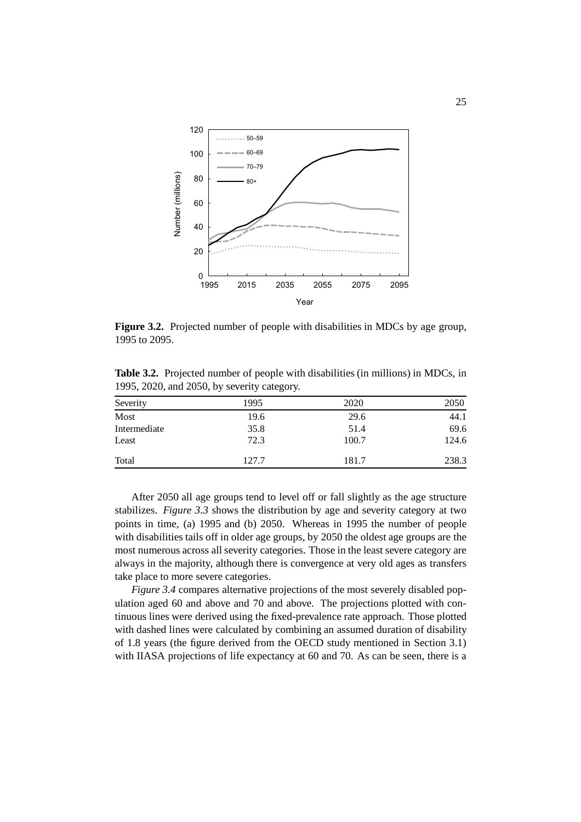

**Figure 3.2.** Projected number of people with disabilities in MDCs by age group, 1995 to 2095.

**Table 3.2.** Projected number of people with disabilities (in millions) in MDCs, in 1995, 2020, and 2050, by severity category.

| Severity     | 1995  | 2020  | 2050  |
|--------------|-------|-------|-------|
| Most         | 19.6  | 29.6  | 44.1  |
| Intermediate | 35.8  | 51.4  | 69.6  |
| Least        | 72.3  | 100.7 | 124.6 |
| Total        | 127.7 | 181.7 | 238.3 |

After 2050 all age groups tend to level off or fall slightly as the age structure stabilizes. *Figure 3.3* shows the distribution by age and severity category at two points in time, (a) 1995 and (b) 2050. Whereas in 1995 the number of people with disabilities tails off in older age groups, by 2050 the oldest age groups are the most numerous across all severity categories. Those in the least severe category are always in the majority, although there is convergence at very old ages as transfers take place to more severe categories.

*Figure 3.4* compares alternative projections of the most severely disabled population aged 60 and above and 70 and above. The projections plotted with continuous lines were derived using the fixed-prevalence rate approach. Those plotted with dashed lines were calculated by combining an assumed duration of disability of 1.8 years (the figure derived from the OECD study mentioned in Section 3.1) with IIASA projections of life expectancy at 60 and 70. As can be seen, there is a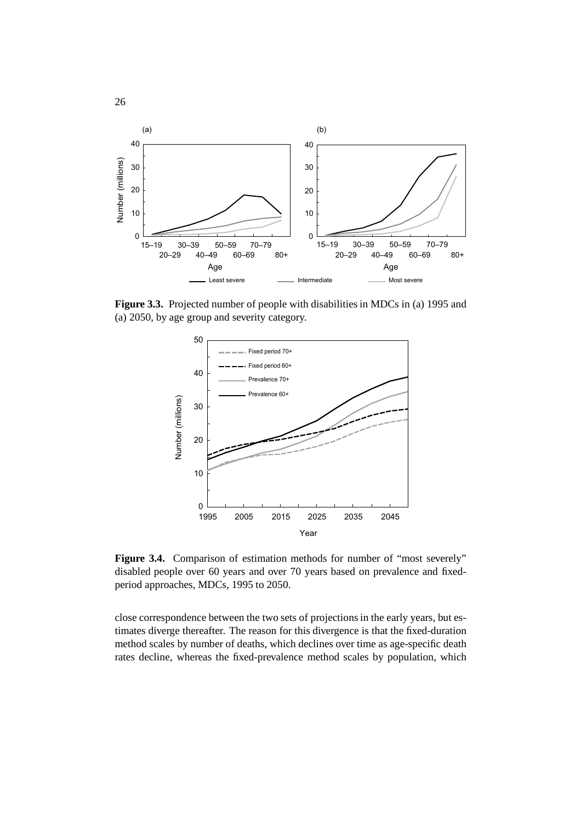

**Figure 3.3.** Projected number of people with disabilities in MDCs in (a) 1995 and (a) 2050, by age group and severity category.



Figure 3.4. Comparison of estimation methods for number of "most severely" disabled people over 60 years and over 70 years based on prevalence and fixedperiod approaches, MDCs, 1995 to 2050.

close correspondence between the two sets of projections in the early years, but estimates diverge thereafter. The reason for this divergence is that the fixed-duration method scales by number of deaths, which declines over time as age-specific death rates decline, whereas the fixed-prevalence method scales by population, which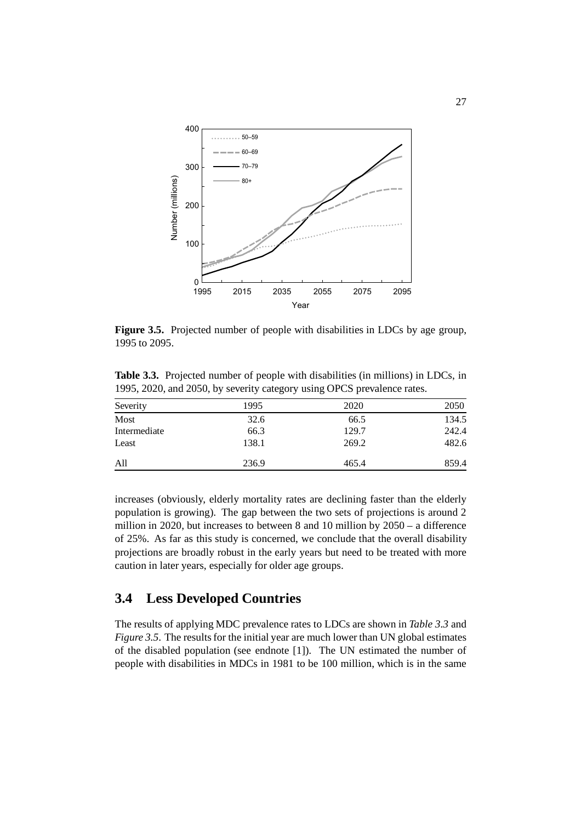

**Figure 3.5.** Projected number of people with disabilities in LDCs by age group, 1995 to 2095.

**Table 3.3.** Projected number of people with disabilities (in millions) in LDCs, in 1995, 2020, and 2050, by severity category using OPCS prevalence rates.

| Severity     | 1995  | 2020  | 2050  |
|--------------|-------|-------|-------|
| Most         | 32.6  | 66.5  | 134.5 |
| Intermediate | 66.3  | 129.7 | 242.4 |
| Least        | 138.1 | 269.2 | 482.6 |
| All          | 236.9 | 465.4 | 859.4 |

increases (obviously, elderly mortality rates are declining faster than the elderly population is growing). The gap between the two sets of projections is around 2 million in 2020, but increases to between 8 and 10 million by 2050 – a difference of 25%. As far as this study is concerned, we conclude that the overall disability projections are broadly robust in the early years but need to be treated with more caution in later years, especially for older age groups.

### **3.4 Less Developed Countries**

The results of applying MDC prevalence rates to LDCs are shown in *Table 3.3* and *Figure 3.5.* The results for the initial year are much lower than UN global estimates of the disabled population (see endnote [1]). The UN estimated the number of people with disabilities in MDCs in 1981 to be 100 million, which is in the same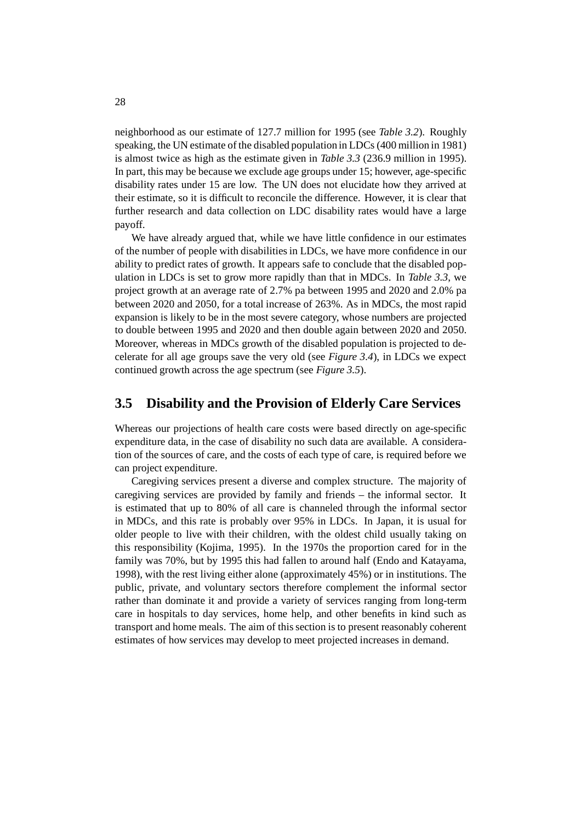neighborhood as our estimate of 127.7 million for 1995 (see *Table 3.2*). Roughly speaking, the UN estimate of the disabled population in LDCs (400 million in 1981) is almost twice as high as the estimate given in *Table 3.3* (236.9 million in 1995). In part, this may be because we exclude age groups under 15; however, age-specific disability rates under 15 are low. The UN does not elucidate how they arrived at their estimate, so it is difficult to reconcile the difference. However, it is clear that further research and data collection on LDC disability rates would have a large payoff.

We have already argued that, while we have little confidence in our estimates of the number of people with disabilities in LDCs, we have more confidence in our ability to predict rates of growth. It appears safe to conclude that the disabled population in LDCs is set to grow more rapidly than that in MDCs. In *Table 3.3*, we project growth at an average rate of 2.7% pa between 1995 and 2020 and 2.0% pa between 2020 and 2050, for a total increase of 263%. As in MDCs, the most rapid expansion is likely to be in the most severe category, whose numbers are projected to double between 1995 and 2020 and then double again between 2020 and 2050. Moreover, whereas in MDCs growth of the disabled population is projected to decelerate for all age groups save the very old (see *Figure 3.4*), in LDCs we expect continued growth across the age spectrum (see *Figure 3.5*).

#### **3.5 Disability and the Provision of Elderly Care Services**

Whereas our projections of health care costs were based directly on age-specific expenditure data, in the case of disability no such data are available. A consideration of the sources of care, and the costs of each type of care, is required before we can project expenditure.

Caregiving services present a diverse and complex structure. The majority of caregiving services are provided by family and friends – the informal sector. It is estimated that up to 80% of all care is channeled through the informal sector in MDCs, and this rate is probably over 95% in LDCs. In Japan, it is usual for older people to live with their children, with the oldest child usually taking on this responsibility (Kojima, 1995). In the 1970s the proportion cared for in the family was 70%, but by 1995 this had fallen to around half (Endo and Katayama, 1998), with the rest living either alone (approximately 45%) or in institutions. The public, private, and voluntary sectors therefore complement the informal sector rather than dominate it and provide a variety of services ranging from long-term care in hospitals to day services, home help, and other benefits in kind such as transport and home meals. The aim of this section is to present reasonably coherent estimates of how services may develop to meet projected increases in demand.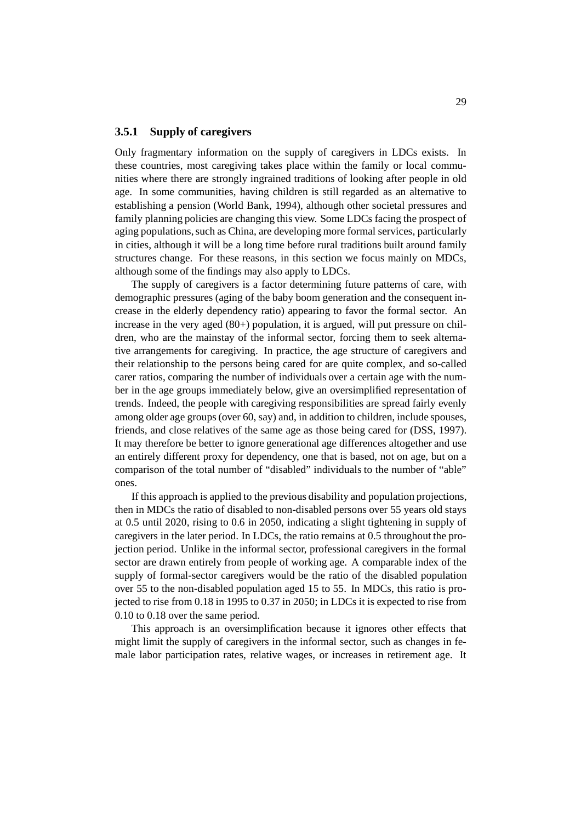#### **3.5.1 Supply of caregivers**

Only fragmentary information on the supply of caregivers in LDCs exists. In these countries, most caregiving takes place within the family or local communities where there are strongly ingrained traditions of looking after people in old age. In some communities, having children is still regarded as an alternative to establishing a pension (World Bank, 1994), although other societal pressures and family planning policies are changing this view. Some LDCs facing the prospect of aging populations, such as China, are developing more formal services, particularly in cities, although it will be a long time before rural traditions built around family structures change. For these reasons, in this section we focus mainly on MDCs, although some of the findings may also apply to LDCs.

The supply of caregivers is a factor determining future patterns of care, with demographic pressures (aging of the baby boom generation and the consequent increase in the elderly dependency ratio) appearing to favor the formal sector. An increase in the very aged (80+) population, it is argued, will put pressure on children, who are the mainstay of the informal sector, forcing them to seek alternative arrangements for caregiving. In practice, the age structure of caregivers and their relationship to the persons being cared for are quite complex, and so-called carer ratios, comparing the number of individuals over a certain age with the number in the age groups immediately below, give an oversimplified representation of trends. Indeed, the people with caregiving responsibilities are spread fairly evenly among older age groups (over 60, say) and, in addition to children, include spouses, friends, and close relatives of the same age as those being cared for (DSS, 1997). It may therefore be better to ignore generational age differences altogether and use an entirely different proxy for dependency, one that is based, not on age, but on a comparison of the total number of "disabled" individuals to the number of "able" ones.

If this approach is applied to the previous disability and population projections, then in MDCs the ratio of disabled to non-disabled persons over 55 years old stays at 0.5 until 2020, rising to 0.6 in 2050, indicating a slight tightening in supply of caregivers in the later period. In LDCs, the ratio remains at 0.5 throughout the projection period. Unlike in the informal sector, professional caregivers in the formal sector are drawn entirely from people of working age. A comparable index of the supply of formal-sector caregivers would be the ratio of the disabled population over 55 to the non-disabled population aged 15 to 55. In MDCs, this ratio is projected to rise from 0.18 in 1995 to 0.37 in 2050; in LDCs it is expected to rise from 0.10 to 0.18 over the same period.

This approach is an oversimplification because it ignores other effects that might limit the supply of caregivers in the informal sector, such as changes in female labor participation rates, relative wages, or increases in retirement age. It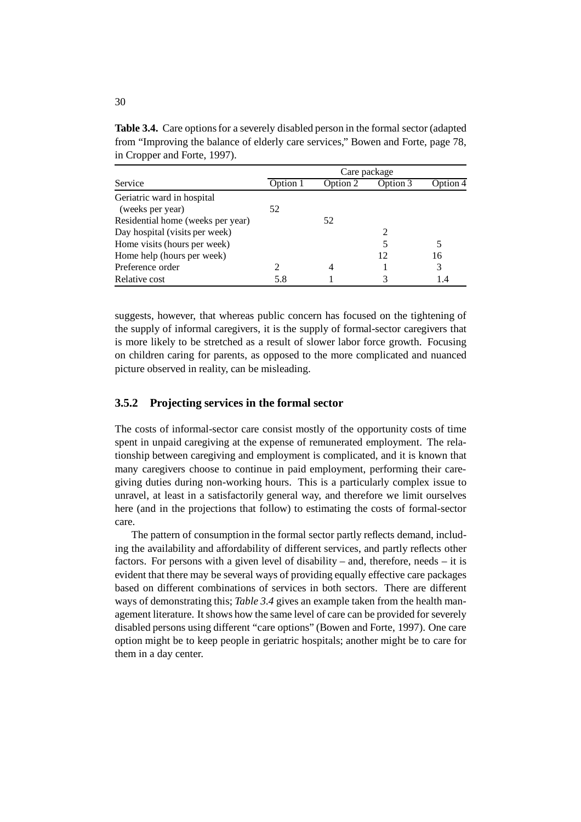| in Cropper and Forte, 1997).      |              |          |                             |          |  |  |
|-----------------------------------|--------------|----------|-----------------------------|----------|--|--|
|                                   | Care package |          |                             |          |  |  |
| Service                           | Option 1     | Option 2 | Option 3                    | Option 4 |  |  |
| Geriatric ward in hospital        |              |          |                             |          |  |  |
| (weeks per year)                  | 52           |          |                             |          |  |  |
| Residential home (weeks per year) |              | 52       |                             |          |  |  |
| Day hospital (visits per week)    |              |          | $\mathcal{D}_{\mathcal{A}}$ |          |  |  |
| Home visits (hours per week)      |              |          |                             |          |  |  |
| Home help (hours per week)        |              |          |                             | 16       |  |  |

Preference order 2 4 1 3 Relative cost  $5.8$  1 3 1.4

**Table 3.4.** Care options for a severely disabled person in the formal sector (adapted from "Improving the balance of elderly care services," Bowen and Forte, page 78, in Cropper and Forte, 1997).

suggests, however, that whereas public concern has focused on the tightening of the supply of informal caregivers, it is the supply of formal-sector caregivers that is more likely to be stretched as a result of slower labor force growth. Focusing on children caring for parents, as opposed to the more complicated and nuanced picture observed in reality, can be misleading.

#### **3.5.2 Projecting services in the formal sector**

The costs of informal-sector care consist mostly of the opportunity costs of time spent in unpaid caregiving at the expense of remunerated employment. The relationship between caregiving and employment is complicated, and it is known that many caregivers choose to continue in paid employment, performing their caregiving duties during non-working hours. This is a particularly complex issue to unravel, at least in a satisfactorily general way, and therefore we limit ourselves here (and in the projections that follow) to estimating the costs of formal-sector care.

The pattern of consumption in the formal sector partly reflects demand, including the availability and affordability of different services, and partly reflects other factors. For persons with a given level of disability – and, therefore, needs – it is evident that there may be several ways of providing equally effective care packages based on different combinations of services in both sectors. There are different ways of demonstrating this; *Table 3.4* gives an example taken from the health management literature. It shows how the same level of care can be provided for severely disabled persons using different "care options" (Bowen and Forte, 1997). One care option might be to keep people in geriatric hospitals; another might be to care for them in a day center.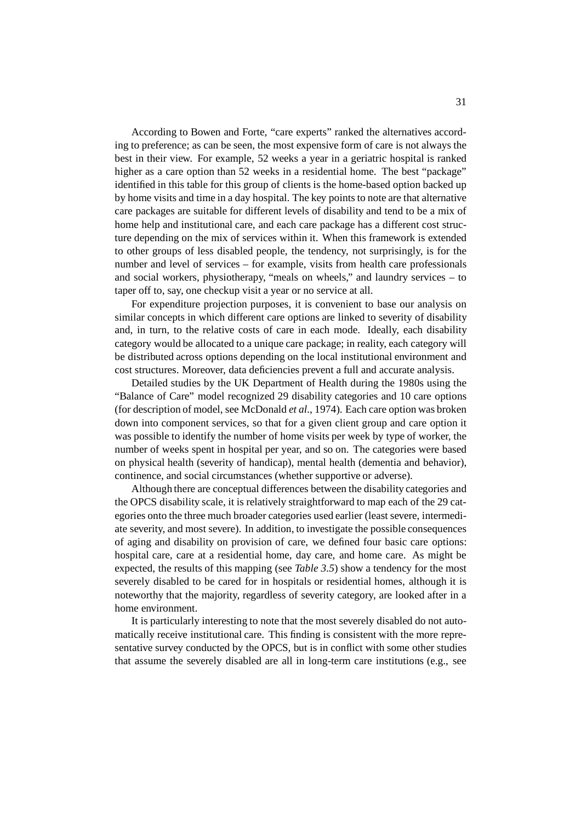According to Bowen and Forte, "care experts" ranked the alternatives according to preference; as can be seen, the most expensive form of care is not always the best in their view. For example, 52 weeks a year in a geriatric hospital is ranked higher as a care option than 52 weeks in a residential home. The best "package" identified in this table for this group of clients is the home-based option backed up by home visits and time in a day hospital. The key points to note are that alternative care packages are suitable for different levels of disability and tend to be a mix of home help and institutional care, and each care package has a different cost structure depending on the mix of services within it. When this framework is extended to other groups of less disabled people, the tendency, not surprisingly, is for the number and level of services – for example, visits from health care professionals and social workers, physiotherapy, "meals on wheels," and laundry services – to taper off to, say, one checkup visit a year or no service at all.

For expenditure projection purposes, it is convenient to base our analysis on similar concepts in which different care options are linked to severity of disability and, in turn, to the relative costs of care in each mode. Ideally, each disability category would be allocated to a unique care package; in reality, each category will be distributed across options depending on the local institutional environment and cost structures. Moreover, data deficiencies prevent a full and accurate analysis.

Detailed studies by the UK Department of Health during the 1980s using the "Balance of Care" model recognized 29 disability categories and 10 care options (for description of model, see McDonald *et al.*, 1974). Each care option was broken down into component services, so that for a given client group and care option it was possible to identify the number of home visits per week by type of worker, the number of weeks spent in hospital per year, and so on. The categories were based on physical health (severity of handicap), mental health (dementia and behavior), continence, and social circumstances (whether supportive or adverse).

Although there are conceptual differences between the disability categories and the OPCS disability scale, it is relatively straightforward to map each of the 29 categories onto the three much broader categories used earlier (least severe, intermediate severity, and most severe). In addition, to investigate the possible consequences of aging and disability on provision of care, we defined four basic care options: hospital care, care at a residential home, day care, and home care. As might be expected, the results of this mapping (see *Table 3.5*) show a tendency for the most severely disabled to be cared for in hospitals or residential homes, although it is noteworthy that the majority, regardless of severity category, are looked after in a home environment.

It is particularly interesting to note that the most severely disabled do not automatically receive institutional care. This finding is consistent with the more representative survey conducted by the OPCS, but is in conflict with some other studies that assume the severely disabled are all in long-term care institutions (e.g., see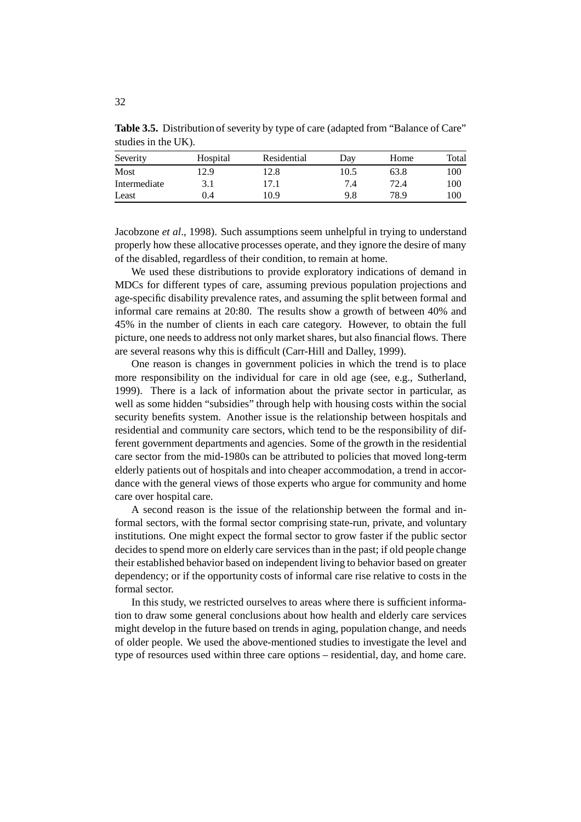| Severity     | Hospital | Residential | Dav  | Home | Total |
|--------------|----------|-------------|------|------|-------|
| Most         | 12.9     | 12.8        | 10.5 | 63.8 | 100   |
| Intermediate | 3.1      | 17.1        | 7.4  | 72.4 | 100   |
| Least        | 0.4      | 10.9        | 9.8  | 78.9 | 100   |

**Table 3.5.** Distribution of severity by type of care (adapted from "Balance of Care" studies in the UK).

Jacobzone *et al*., 1998). Such assumptions seem unhelpful in trying to understand properly how these allocative processes operate, and they ignore the desire of many of the disabled, regardless of their condition, to remain at home.

We used these distributions to provide exploratory indications of demand in MDCs for different types of care, assuming previous population projections and age-specific disability prevalence rates, and assuming the split between formal and informal care remains at 20:80. The results show a growth of between 40% and 45% in the number of clients in each care category. However, to obtain the full picture, one needs to address not only market shares, but also financial flows. There are several reasons why this is difficult (Carr-Hill and Dalley, 1999).

One reason is changes in government policies in which the trend is to place more responsibility on the individual for care in old age (see, e.g., Sutherland, 1999). There is a lack of information about the private sector in particular, as well as some hidden "subsidies" through help with housing costs within the social security benefits system. Another issue is the relationship between hospitals and residential and community care sectors, which tend to be the responsibility of different government departments and agencies. Some of the growth in the residential care sector from the mid-1980s can be attributed to policies that moved long-term elderly patients out of hospitals and into cheaper accommodation, a trend in accordance with the general views of those experts who argue for community and home care over hospital care.

A second reason is the issue of the relationship between the formal and informal sectors, with the formal sector comprising state-run, private, and voluntary institutions. One might expect the formal sector to grow faster if the public sector decides to spend more on elderly care services than in the past; if old people change their established behavior based on independent living to behavior based on greater dependency; or if the opportunity costs of informal care rise relative to costs in the formal sector.

In this study, we restricted ourselves to areas where there is sufficient information to draw some general conclusions about how health and elderly care services might develop in the future based on trends in aging, population change, and needs of older people. We used the above-mentioned studies to investigate the level and type of resources used within three care options – residential, day, and home care.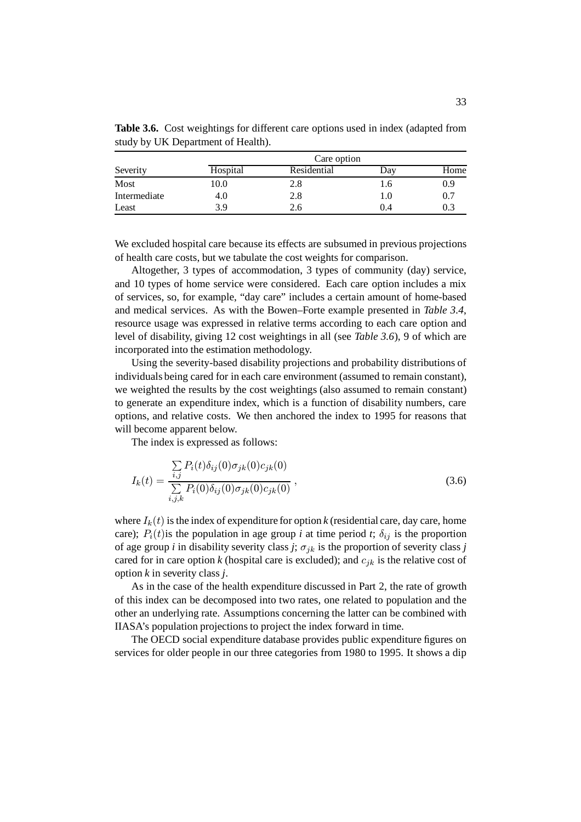|              | Care option |             |     |      |  |
|--------------|-------------|-------------|-----|------|--|
| Severity     | Hospital    | Residential | Day | Home |  |
| Most         | 10.0        | 2.8         | 1.6 | 0.9  |  |
| Intermediate | 4.0         | 2.8         | 1.0 | 0.7  |  |
| Least        | 3.9         | 2.6         | 0.4 | 0.3  |  |

**Table 3.6.** Cost weightings for different care options used in index (adapted from study by UK Department of Health).

We excluded hospital care because its effects are subsumed in previous projections of health care costs, but we tabulate the cost weights for comparison.

Altogether, 3 types of accommodation, 3 types of community (day) service, and 10 types of home service were considered. Each care option includes a mix of services, so, for example, "day care" includes a certain amount of home-based and medical services. As with the Bowen–Forte example presented in *Table 3.4*, resource usage was expressed in relative terms according to each care option and level of disability, giving 12 cost weightings in all (see *Table 3.6*), 9 of which are incorporated into the estimation methodology.

Using the severity-based disability projections and probability distributions of individuals being cared for in each care environment (assumed to remain constant), we weighted the results by the cost weightings (also assumed to remain constant) to generate an expenditure index, which is a function of disability numbers, care options, and relative costs. We then anchored the index to 1995 for reasons that will become apparent below.

The index is expressed as follows:

$$
I_k(t) = \frac{\sum_{i,j} P_i(t)\delta_{ij}(0)\sigma_{jk}(0)c_{jk}(0)}{\sum_{i,j,k} P_i(0)\delta_{ij}(0)\sigma_{jk}(0)c_{jk}(0)},
$$
\n(3.6)

where  $I_k(t)$  is the index of expenditure for option  $k$  (residential care, day care, home care);  $P_i(t)$  is the population in age group *i* at time period *t*;  $\delta_{ij}$  is the proportion of age group *i* in disability severity class *j*;  $\sigma_{ik}$  is the proportion of severity class *j* cared for in care option  $k$  (hospital care is excluded); and  $c_{ik}$  is the relative cost of option *k* in severity class *j*.

As in the case of the health expenditure discussed in Part 2, the rate of growth of this index can be decomposed into two rates, one related to population and the other an underlying rate. Assumptions concerning the latter can be combined with IIASA's population projections to project the index forward in time.

The OECD social expenditure database provides public expenditure figures on services for older people in our three categories from 1980 to 1995. It shows a dip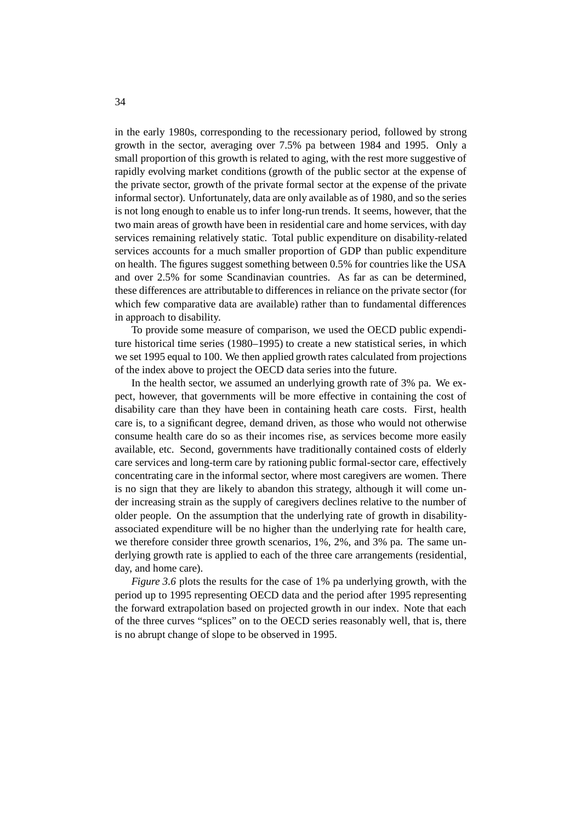in the early 1980s, corresponding to the recessionary period, followed by strong growth in the sector, averaging over 7.5% pa between 1984 and 1995. Only a small proportion of this growth is related to aging, with the rest more suggestive of rapidly evolving market conditions (growth of the public sector at the expense of the private sector, growth of the private formal sector at the expense of the private informal sector). Unfortunately, data are only available as of 1980, and so the series is not long enough to enable us to infer long-run trends. It seems, however, that the two main areas of growth have been in residential care and home services, with day services remaining relatively static. Total public expenditure on disability-related services accounts for a much smaller proportion of GDP than public expenditure on health. The figures suggest something between 0.5% for countries like the USA and over 2.5% for some Scandinavian countries. As far as can be determined, these differences are attributable to differences in reliance on the private sector (for which few comparative data are available) rather than to fundamental differences in approach to disability.

To provide some measure of comparison, we used the OECD public expenditure historical time series (1980–1995) to create a new statistical series, in which we set 1995 equal to 100. We then applied growth rates calculated from projections of the index above to project the OECD data series into the future.

In the health sector, we assumed an underlying growth rate of 3% pa. We expect, however, that governments will be more effective in containing the cost of disability care than they have been in containing heath care costs. First, health care is, to a significant degree, demand driven, as those who would not otherwise consume health care do so as their incomes rise, as services become more easily available, etc. Second, governments have traditionally contained costs of elderly care services and long-term care by rationing public formal-sector care, effectively concentrating care in the informal sector, where most caregivers are women. There is no sign that they are likely to abandon this strategy, although it will come under increasing strain as the supply of caregivers declines relative to the number of older people. On the assumption that the underlying rate of growth in disabilityassociated expenditure will be no higher than the underlying rate for health care, we therefore consider three growth scenarios, 1%, 2%, and 3% pa. The same underlying growth rate is applied to each of the three care arrangements (residential, day, and home care).

*Figure 3.6* plots the results for the case of 1% pa underlying growth, with the period up to 1995 representing OECD data and the period after 1995 representing the forward extrapolation based on projected growth in our index. Note that each of the three curves "splices" on to the OECD series reasonably well, that is, there is no abrupt change of slope to be observed in 1995.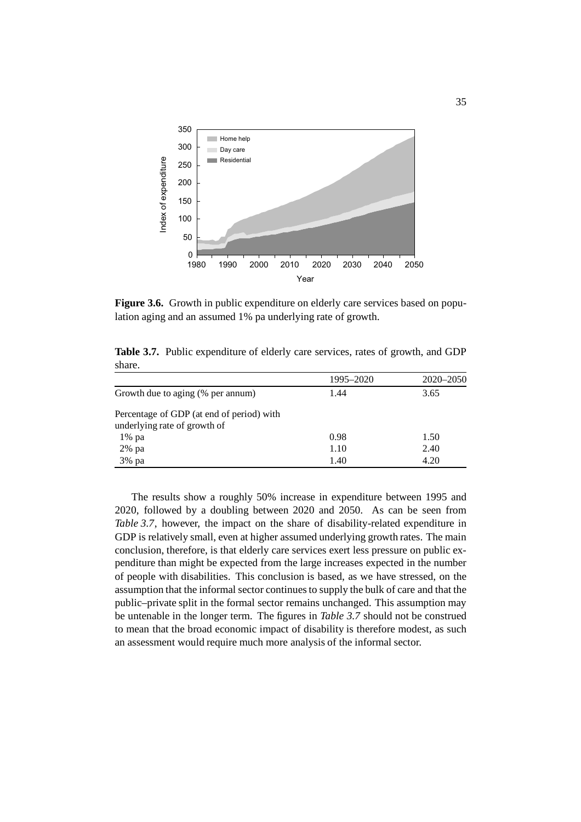

**Figure 3.6.** Growth in public expenditure on elderly care services based on population aging and an assumed 1% pa underlying rate of growth.

|                                                                           | 1995–2020 | 2020–2050 |
|---------------------------------------------------------------------------|-----------|-----------|
| Growth due to aging (% per annum)                                         | 1.44      | 3.65      |
| Percentage of GDP (at end of period) with<br>underlying rate of growth of |           |           |
| $1\%$ pa                                                                  | 0.98      | 1.50      |
| 2% pa                                                                     | 1.10      | 2.40      |
| 3% pa                                                                     | 1.40      | 4.20      |

**Table 3.7.** Public expenditure of elderly care services, rates of growth, and GDP share.

The results show a roughly 50% increase in expenditure between 1995 and 2020, followed by a doubling between 2020 and 2050. As can be seen from *Table 3.7*, however, the impact on the share of disability-related expenditure in GDP is relatively small, even at higher assumed underlying growth rates. The main conclusion, therefore, is that elderly care services exert less pressure on public expenditure than might be expected from the large increases expected in the number of people with disabilities. This conclusion is based, as we have stressed, on the assumption that the informal sector continues to supply the bulk of care and that the public–private split in the formal sector remains unchanged. This assumption may be untenable in the longer term. The figures in *Table 3.7* should not be construed to mean that the broad economic impact of disability is therefore modest, as such an assessment would require much more analysis of the informal sector.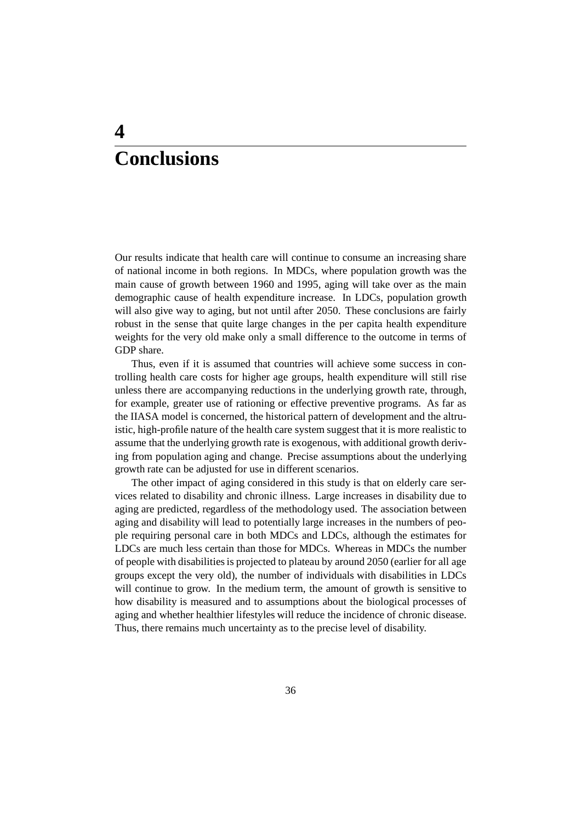## **4 Conclusions**

Our results indicate that health care will continue to consume an increasing share of national income in both regions. In MDCs, where population growth was the main cause of growth between 1960 and 1995, aging will take over as the main demographic cause of health expenditure increase. In LDCs, population growth will also give way to aging, but not until after 2050. These conclusions are fairly robust in the sense that quite large changes in the per capita health expenditure weights for the very old make only a small difference to the outcome in terms of GDP share.

Thus, even if it is assumed that countries will achieve some success in controlling health care costs for higher age groups, health expenditure will still rise unless there are accompanying reductions in the underlying growth rate, through, for example, greater use of rationing or effective preventive programs. As far as the IIASA model is concerned, the historical pattern of development and the altruistic, high-profile nature of the health care system suggest that it is more realistic to assume that the underlying growth rate is exogenous, with additional growth deriving from population aging and change. Precise assumptions about the underlying growth rate can be adjusted for use in different scenarios.

The other impact of aging considered in this study is that on elderly care services related to disability and chronic illness. Large increases in disability due to aging are predicted, regardless of the methodology used. The association between aging and disability will lead to potentially large increases in the numbers of people requiring personal care in both MDCs and LDCs, although the estimates for LDCs are much less certain than those for MDCs. Whereas in MDCs the number of people with disabilities is projected to plateau by around 2050 (earlier for all age groups except the very old), the number of individuals with disabilities in LDCs will continue to grow. In the medium term, the amount of growth is sensitive to how disability is measured and to assumptions about the biological processes of aging and whether healthier lifestyles will reduce the incidence of chronic disease. Thus, there remains much uncertainty as to the precise level of disability.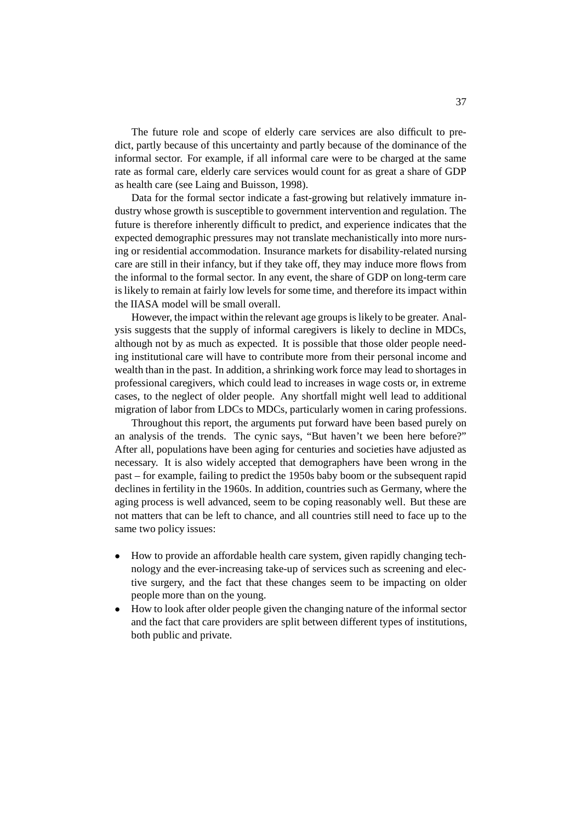The future role and scope of elderly care services are also difficult to predict, partly because of this uncertainty and partly because of the dominance of the informal sector. For example, if all informal care were to be charged at the same rate as formal care, elderly care services would count for as great a share of GDP as health care (see Laing and Buisson, 1998).

Data for the formal sector indicate a fast-growing but relatively immature industry whose growth is susceptible to government intervention and regulation. The future is therefore inherently difficult to predict, and experience indicates that the expected demographic pressures may not translate mechanistically into more nursing or residential accommodation. Insurance markets for disability-related nursing care are still in their infancy, but if they take off, they may induce more flows from the informal to the formal sector. In any event, the share of GDP on long-term care is likely to remain at fairly low levels for some time, and therefore its impact within the IIASA model will be small overall.

However, the impact within the relevant age groups is likely to be greater. Analysis suggests that the supply of informal caregivers is likely to decline in MDCs, although not by as much as expected. It is possible that those older people needing institutional care will have to contribute more from their personal income and wealth than in the past. In addition, a shrinking work force may lead to shortages in professional caregivers, which could lead to increases in wage costs or, in extreme cases, to the neglect of older people. Any shortfall might well lead to additional migration of labor from LDCs to MDCs, particularly women in caring professions.

Throughout this report, the arguments put forward have been based purely on an analysis of the trends. The cynic says, "But haven't we been here before?" After all, populations have been aging for centuries and societies have adjusted as necessary. It is also widely accepted that demographers have been wrong in the past – for example, failing to predict the 1950s baby boom or the subsequent rapid declines in fertility in the 1960s. In addition, countries such as Germany, where the aging process is well advanced, seem to be coping reasonably well. But these are not matters that can be left to chance, and all countries still need to face up to the same two policy issues:

- How to provide an affordable health care system, given rapidly changing technology and the ever-increasing take-up of services such as screening and elective surgery, and the fact that these changes seem to be impacting on older people more than on the young.
- How to look after older people given the changing nature of the informal sector and the fact that care providers are split between different types of institutions, both public and private.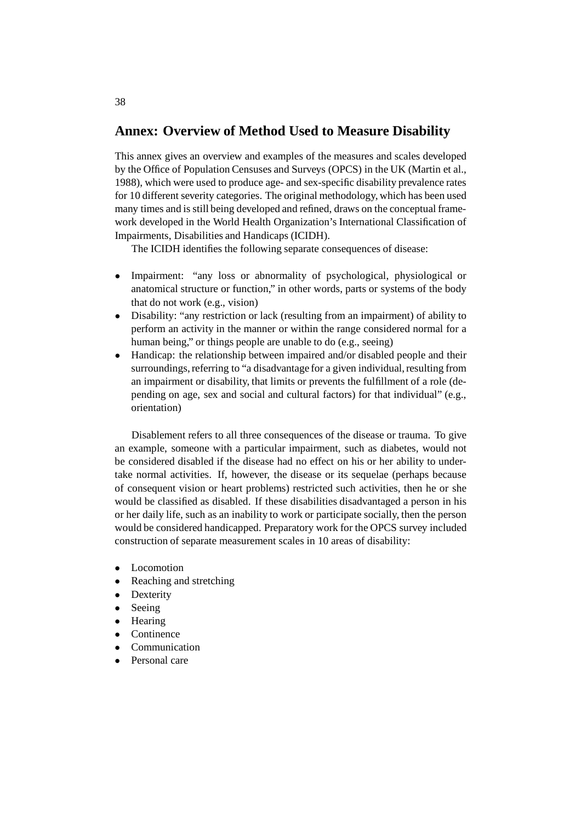### **Annex: Overview of Method Used to Measure Disability**

This annex gives an overview and examples of the measures and scales developed by the Office of Population Censuses and Surveys (OPCS) in the UK (Martin et al., 1988), which were used to produce age- and sex-specific disability prevalence rates for 10 different severity categories. The original methodology, which has been used many times and is still being developed and refined, draws on the conceptual framework developed in the World Health Organization's International Classification of Impairments, Disabilities and Handicaps (ICIDH).

The ICIDH identifies the following separate consequences of disease:

- Impairment: "any loss or abnormality of psychological, physiological or anatomical structure or function," in other words, parts or systems of the body that do not work (e.g., vision)
- Disability: "any restriction or lack (resulting from an impairment) of ability to perform an activity in the manner or within the range considered normal for a human being," or things people are unable to do (e.g., seeing)
- Handicap: the relationship between impaired and/or disabled people and their surroundings, referring to "a disadvantage for a given individual, resulting from an impairment or disability, that limits or prevents the fulfillment of a role (depending on age, sex and social and cultural factors) for that individual" (e.g., orientation)

Disablement refers to all three consequences of the disease or trauma. To give an example, someone with a particular impairment, such as diabetes, would not be considered disabled if the disease had no effect on his or her ability to undertake normal activities. If, however, the disease or its sequelae (perhaps because of consequent vision or heart problems) restricted such activities, then he or she would be classified as disabled. If these disabilities disadvantaged a person in his or her daily life, such as an inability to work or participate socially, then the person would be considered handicapped. Preparatory work for the OPCS survey included construction of separate measurement scales in 10 areas of disability:

- Locomotion
- Reaching and stretching<br>• Dexterity
- **Dexterity**
- Seeing
- Hearing
- Continence
- **Communication**
- Personal care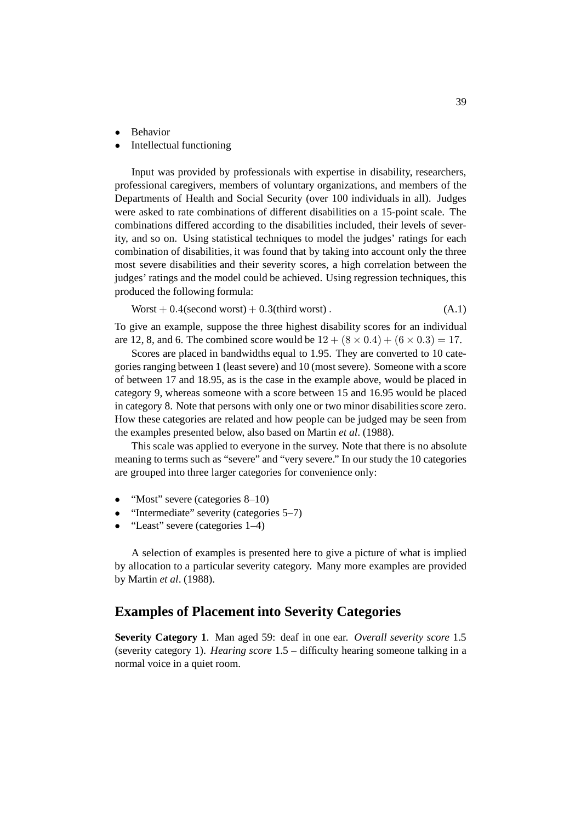- **Behavior**
- Intellectual functioning

Input was provided by professionals with expertise in disability, researchers, professional caregivers, members of voluntary organizations, and members of the Departments of Health and Social Security (over 100 individuals in all). Judges were asked to rate combinations of different disabilities on a 15-point scale. The combinations differed according to the disabilities included, their levels of severity, and so on. Using statistical techniques to model the judges' ratings for each combination of disabilities, it was found that by taking into account only the three most severe disabilities and their severity scores, a high correlation between the judges' ratings and the model could be achieved. Using regression techniques, this produced the following formula:

$$
Worst + 0.4(\text{second worst}) + 0.3(\text{third worst}).\tag{A.1}
$$

To give an example, suppose the three highest disability scores for an individual are 12, 8, and 6. The combined score would be  $12 + (8 \times 0.4) + (6 \times 0.3) = 17$ .

Scores are placed in bandwidths equal to 1.95. They are converted to 10 categories ranging between 1 (least severe) and 10 (most severe). Someone with a score of between 17 and 18.95, as is the case in the example above, would be placed in category 9, whereas someone with a score between 15 and 16.95 would be placed in category 8. Note that persons with only one or two minor disabilities score zero. How these categories are related and how people can be judged may be seen from the examples presented below, also based on Martin *et al*. (1988).

This scale was applied to everyone in the survey. Note that there is no absolute meaning to terms such as "severe" and "very severe." In our study the 10 categories are grouped into three larger categories for convenience only:

- "Most" severe (categories 8–10)
- "Intermediate" severity (categories 5–7)
- "Least" severe (categories 1–4)

A selection of examples is presented here to give a picture of what is implied by allocation to a particular severity category. Many more examples are provided by Martin *et al*. (1988).

#### **Examples of Placement into Severity Categories**

**Severity Category 1**. Man aged 59: deaf in one ear. *Overall severity score* 1.5 (severity category 1). *Hearing score* 1.5 – difficulty hearing someone talking in a normal voice in a quiet room.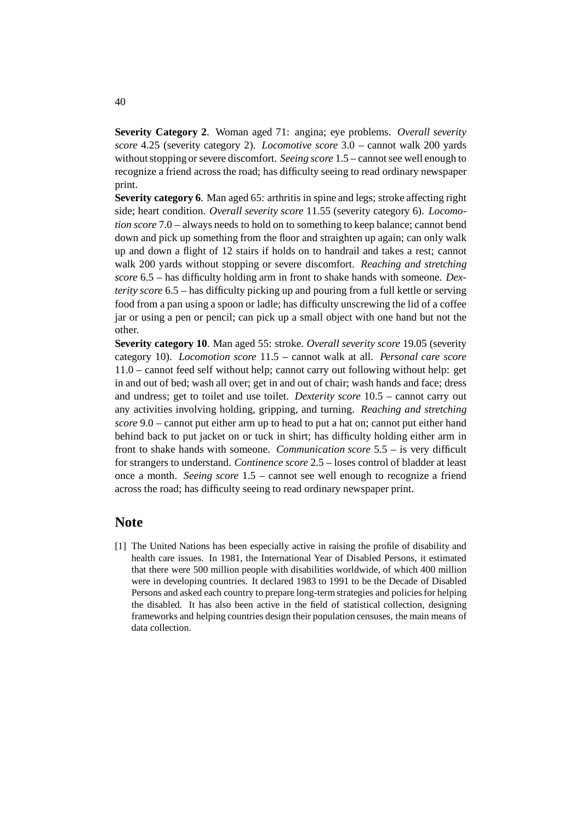**Severity Category 2**. Woman aged 71: angina; eye problems. *Overall severity score* 4.25 (severity category 2). *Locomotive score* 3.0 – cannot walk 200 yards without stopping or severe discomfort. *Seeing score* 1.5 – cannot see well enough to recognize a friend across the road; has difficulty seeing to read ordinary newspaper print.

**Severity category 6**. Man aged 65: arthritis in spine and legs; stroke affecting right side; heart condition. *Overall severity score* 11.55 (severity category 6). *Locomotion score* 7.0 – always needs to hold on to something to keep balance; cannot bend down and pick up something from the floor and straighten up again; can only walk up and down a flight of 12 stairs if holds on to handrail and takes a rest; cannot walk 200 yards without stopping or severe discomfort. *Reaching and stretching score* 6.5 – has difficulty holding arm in front to shake hands with someone. *Dexterity score* 6.5 – has difficulty picking up and pouring from a full kettle or serving food from a pan using a spoon or ladle; has difficulty unscrewing the lid of a coffee jar or using a pen or pencil; can pick up a small object with one hand but not the other.

**Severity category 10**. Man aged 55: stroke. *Overall severity score* 19.05 (severity category 10). *Locomotion score* 11.5 – cannot walk at all. *Personal care score* 11.0 – cannot feed self without help; cannot carry out following without help: get in and out of bed; wash all over; get in and out of chair; wash hands and face; dress and undress; get to toilet and use toilet. *Dexterity score* 10.5 – cannot carry out any activities involving holding, gripping, and turning. *Reaching and stretching score* 9.0 – cannot put either arm up to head to put a hat on; cannot put either hand behind back to put jacket on or tuck in shirt; has difficulty holding either arm in front to shake hands with someone. *Communication score* 5.5 – is very difficult for strangers to understand. *Continence score* 2.5 – loses control of bladder at least once a month. *Seeing score* 1.5 – cannot see well enough to recognize a friend across the road; has difficulty seeing to read ordinary newspaper print.

#### **Note**

[1] The United Nations has been especially active in raising the profile of disability and health care issues. In 1981, the International Year of Disabled Persons, it estimated that there were 500 million people with disabilities worldwide, of which 400 million were in developing countries. It declared 1983 to 1991 to be the Decade of Disabled Persons and asked each country to prepare long-term strategies and policies for helping the disabled. It has also been active in the field of statistical collection, designing frameworks and helping countries design their population censuses, the main means of data collection.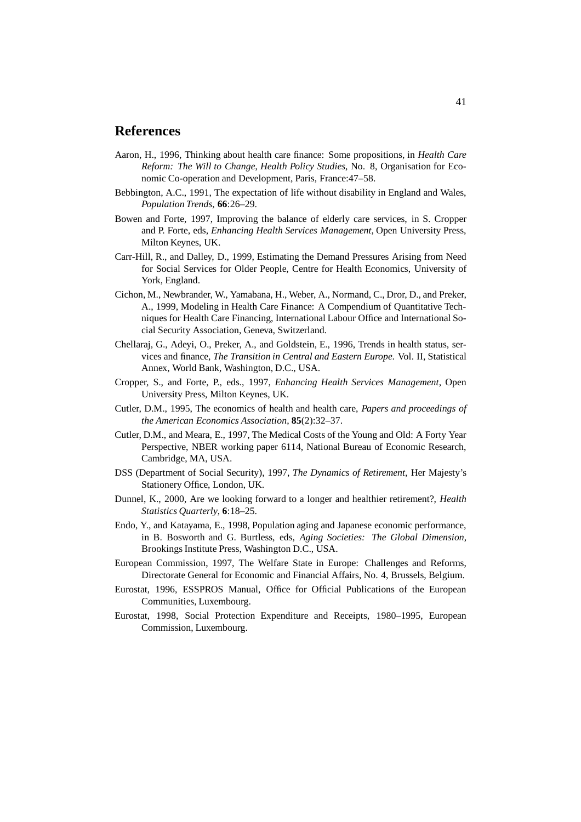#### **References**

- Aaron, H., 1996, Thinking about health care finance: Some propositions, in *Health Care Reform: The Will to Change*, *Health Policy Studies*, No. 8, Organisation for Economic Co-operation and Development, Paris, France:47–58.
- Bebbington, A.C., 1991, The expectation of life without disability in England and Wales, *Population Trends*, **66**:26–29.
- Bowen and Forte, 1997, Improving the balance of elderly care services, in S. Cropper and P. Forte, eds, *Enhancing Health Services Management*, Open University Press, Milton Keynes, UK.
- Carr-Hill, R., and Dalley, D., 1999, Estimating the Demand Pressures Arising from Need for Social Services for Older People, Centre for Health Economics, University of York, England.
- Cichon, M., Newbrander, W., Yamabana, H., Weber, A., Normand, C., Dror, D., and Preker, A., 1999, Modeling in Health Care Finance: A Compendium of Quantitative Techniques for Health Care Financing, International Labour Office and International Social Security Association, Geneva, Switzerland.
- Chellaraj, G., Adeyi, O., Preker, A., and Goldstein, E., 1996, Trends in health status, services and finance, *The Transition in Central and Eastern Europe*. Vol. II, Statistical Annex, World Bank, Washington, D.C., USA.
- Cropper, S., and Forte, P., eds., 1997, *Enhancing Health Services Management*, Open University Press, Milton Keynes, UK.
- Cutler, D.M., 1995, The economics of health and health care, *Papers and proceedings of the American Economics Association*, **85**(2):32–37.
- Cutler, D.M., and Meara, E., 1997, The Medical Costs of the Young and Old: A Forty Year Perspective, NBER working paper 6114, National Bureau of Economic Research, Cambridge, MA, USA.
- DSS (Department of Social Security), 1997, *The Dynamics of Retirement*, Her Majesty's Stationery Office, London, UK.
- Dunnel, K., 2000, Are we looking forward to a longer and healthier retirement?, *Health Statistics Quarterly*, **6**:18–25.
- Endo, Y., and Katayama, E., 1998, Population aging and Japanese economic performance, in B. Bosworth and G. Burtless, eds, *Aging Societies: The Global Dimension*, Brookings Institute Press, Washington D.C., USA.
- European Commission, 1997, The Welfare State in Europe: Challenges and Reforms, Directorate General for Economic and Financial Affairs, No. 4, Brussels, Belgium.
- Eurostat, 1996, ESSPROS Manual, Office for Official Publications of the European Communities, Luxembourg.
- Eurostat, 1998, Social Protection Expenditure and Receipts, 1980–1995, European Commission, Luxembourg.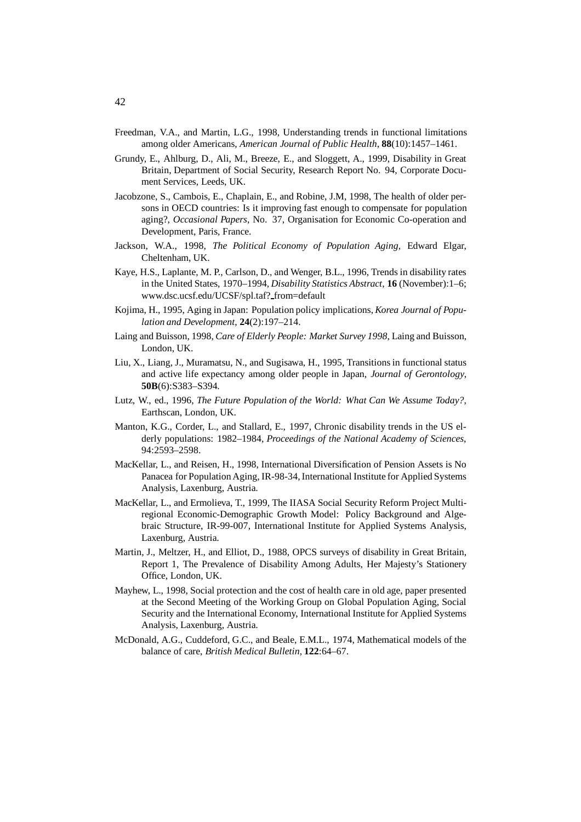- Freedman, V.A., and Martin, L.G., 1998, Understanding trends in functional limitations among older Americans, *American Journal of Public Health*, **88**(10):1457–1461.
- Grundy, E., Ahlburg, D., Ali, M., Breeze, E., and Sloggett, A., 1999, Disability in Great Britain, Department of Social Security, Research Report No. 94, Corporate Document Services, Leeds, UK.
- Jacobzone, S., Cambois, E., Chaplain, E., and Robine, J.M, 1998, The health of older persons in OECD countries: Is it improving fast enough to compensate for population aging?, *Occasional Papers*, No. 37, Organisation for Economic Co-operation and Development, Paris, France.
- Jackson, W.A., 1998, *The Political Economy of Population Aging*, Edward Elgar, Cheltenham, UK.
- Kaye, H.S., Laplante, M. P., Carlson, D., and Wenger, B.L., 1996, Trends in disability rates in the United States, 1970–1994, *Disability Statistics Abstract*, **16** (November):1–6; www.dsc.ucsf.edu/UCSF/spl.taf? from=default
- Kojima, H., 1995, Aging in Japan: Population policy implications, *Korea Journal of Population and Development*, **24**(2):197–214.
- Laing and Buisson, 1998, *Care of Elderly People: Market Survey 1998*, Laing and Buisson, London, UK.
- Liu, X., Liang, J., Muramatsu, N., and Sugisawa, H., 1995, Transitions in functional status and active life expectancy among older people in Japan, *Journal of Gerontology*, **50B**(6):S383–S394.
- Lutz, W., ed., 1996, *The Future Population of the World: What Can We Assume Today?*, Earthscan, London, UK.
- Manton, K.G., Corder, L., and Stallard, E., 1997, Chronic disability trends in the US elderly populations: 1982–1984, *Proceedings of the National Academy of Sciences*, 94:2593–2598.
- MacKellar, L., and Reisen, H., 1998, International Diversification of Pension Assets is No Panacea for Population Aging, IR-98-34, International Institute for Applied Systems Analysis, Laxenburg, Austria.
- MacKellar, L., and Ermolieva, T., 1999, The IIASA Social Security Reform Project Multiregional Economic-Demographic Growth Model: Policy Background and Algebraic Structure, IR-99-007, International Institute for Applied Systems Analysis, Laxenburg, Austria.
- Martin, J., Meltzer, H., and Elliot, D., 1988, OPCS surveys of disability in Great Britain, Report 1, The Prevalence of Disability Among Adults, Her Majesty's Stationery Office, London, UK.
- Mayhew, L., 1998, Social protection and the cost of health care in old age, paper presented at the Second Meeting of the Working Group on Global Population Aging, Social Security and the International Economy, International Institute for Applied Systems Analysis, Laxenburg, Austria.
- McDonald, A.G., Cuddeford, G.C., and Beale, E.M.L., 1974, Mathematical models of the balance of care, *British Medical Bulletin*, **122**:64–67.